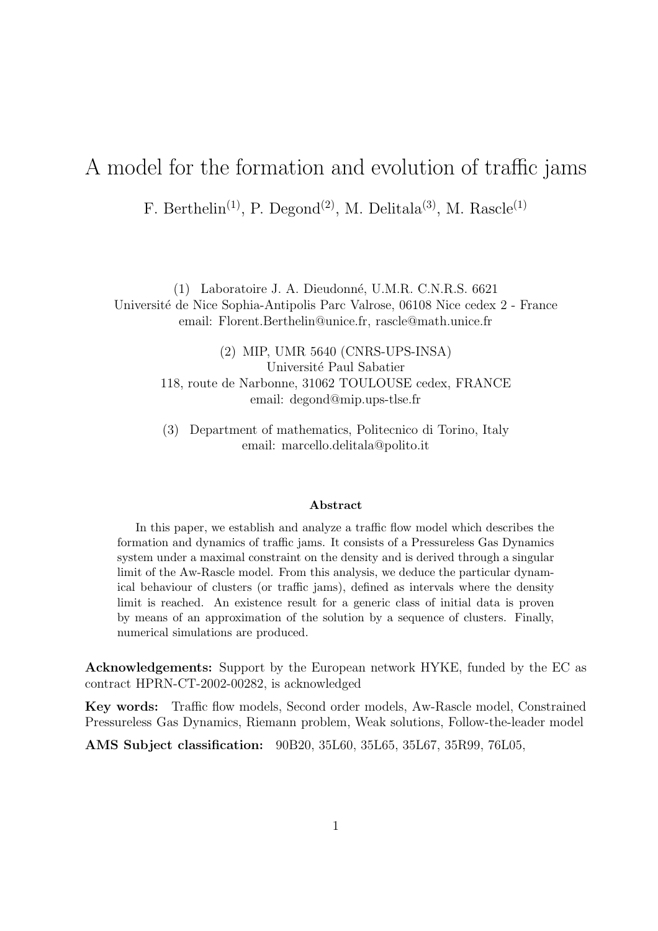# A model for the formation and evolution of traffic jams

F. Berthelin<sup>(1)</sup>, P. Degond<sup>(2)</sup>, M. Delitala<sup>(3)</sup>, M. Rascle<sup>(1)</sup>

(1) Laboratoire J. A. Dieudonn´e, U.M.R. C.N.R.S. 6621 Université de Nice Sophia-Antipolis Parc Valrose, 06108 Nice cedex 2 - France email: Florent.Berthelin@unice.fr, rascle@math.unice.fr

> (2) MIP, UMR 5640 (CNRS-UPS-INSA) Université Paul Sabatier 118, route de Narbonne, 31062 TOULOUSE cedex, FRANCE email: degond@mip.ups-tlse.fr

> (3) Department of mathematics, Politecnico di Torino, Italy email: marcello.delitala@polito.it

#### Abstract

In this paper, we establish and analyze a traffic flow model which describes the formation and dynamics of traffic jams. It consists of a Pressureless Gas Dynamics system under a maximal constraint on the density and is derived through a singular limit of the Aw-Rascle model. From this analysis, we deduce the particular dynamical behaviour of clusters (or traffic jams), defined as intervals where the density limit is reached. An existence result for a generic class of initial data is proven by means of an approximation of the solution by a sequence of clusters. Finally, numerical simulations are produced.

Acknowledgements: Support by the European network HYKE, funded by the EC as contract HPRN-CT-2002-00282, is acknowledged

Key words: Traffic flow models, Second order models, Aw-Rascle model, Constrained Pressureless Gas Dynamics, Riemann problem, Weak solutions, Follow-the-leader model

AMS Subject classification: 90B20, 35L60, 35L65, 35L67, 35R99, 76L05,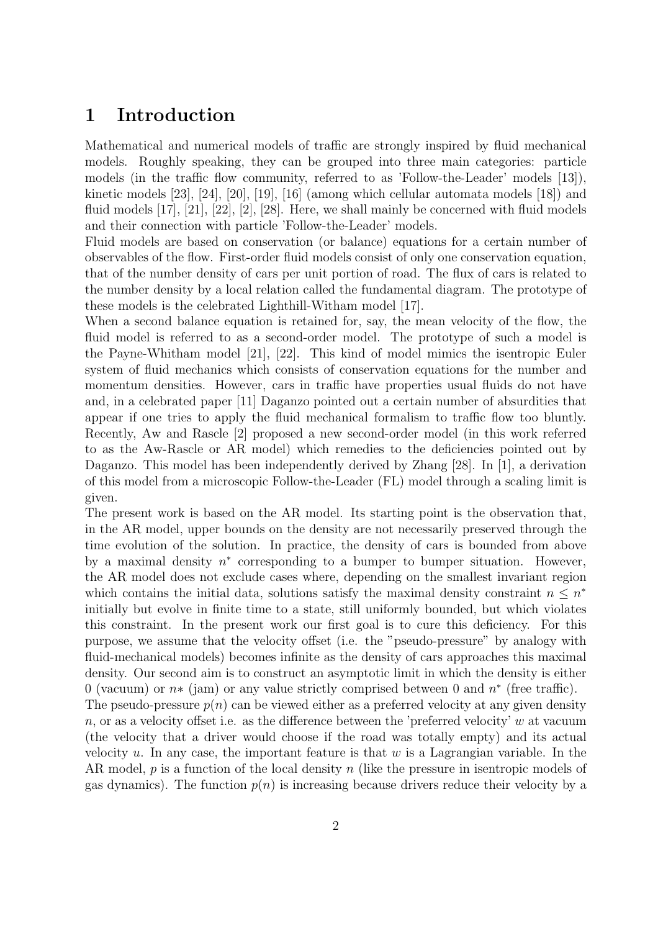## 1 Introduction

Mathematical and numerical models of traffic are strongly inspired by fluid mechanical models. Roughly speaking, they can be grouped into three main categories: particle models (in the traffic flow community, referred to as 'Follow-the-Leader' models [13]), kinetic models [23], [24], [20], [19], [16] (among which cellular automata models [18]) and fluid models [17], [21], [22], [2], [28]. Here, we shall mainly be concerned with fluid models and their connection with particle 'Follow-the-Leader' models.

Fluid models are based on conservation (or balance) equations for a certain number of observables of the flow. First-order fluid models consist of only one conservation equation, that of the number density of cars per unit portion of road. The flux of cars is related to the number density by a local relation called the fundamental diagram. The prototype of these models is the celebrated Lighthill-Witham model [17].

When a second balance equation is retained for, say, the mean velocity of the flow, the fluid model is referred to as a second-order model. The prototype of such a model is the Payne-Whitham model [21], [22]. This kind of model mimics the isentropic Euler system of fluid mechanics which consists of conservation equations for the number and momentum densities. However, cars in traffic have properties usual fluids do not have and, in a celebrated paper [11] Daganzo pointed out a certain number of absurdities that appear if one tries to apply the fluid mechanical formalism to traffic flow too bluntly. Recently, Aw and Rascle [2] proposed a new second-order model (in this work referred to as the Aw-Rascle or AR model) which remedies to the deficiencies pointed out by Daganzo. This model has been independently derived by Zhang [28]. In [1], a derivation of this model from a microscopic Follow-the-Leader (FL) model through a scaling limit is given.

The present work is based on the AR model. Its starting point is the observation that, in the AR model, upper bounds on the density are not necessarily preserved through the time evolution of the solution. In practice, the density of cars is bounded from above by a maximal density  $n^*$  corresponding to a bumper to bumper situation. However, the AR model does not exclude cases where, depending on the smallest invariant region which contains the initial data, solutions satisfy the maximal density constraint  $n \leq n^*$ initially but evolve in finite time to a state, still uniformly bounded, but which violates this constraint. In the present work our first goal is to cure this deficiency. For this purpose, we assume that the velocity offset (i.e. the "pseudo-pressure" by analogy with fluid-mechanical models) becomes infinite as the density of cars approaches this maximal density. Our second aim is to construct an asymptotic limit in which the density is either 0 (vacuum) or  $n*$  (jam) or any value strictly comprised between 0 and  $n*$  (free traffic).

The pseudo-pressure  $p(n)$  can be viewed either as a preferred velocity at any given density n, or as a velocity offset i.e. as the difference between the 'preferred velocity'  $w$  at vacuum (the velocity that a driver would choose if the road was totally empty) and its actual velocity u. In any case, the important feature is that  $w$  is a Lagrangian variable. In the AR model,  $p$  is a function of the local density n (like the pressure in isentropic models of gas dynamics). The function  $p(n)$  is increasing because drivers reduce their velocity by a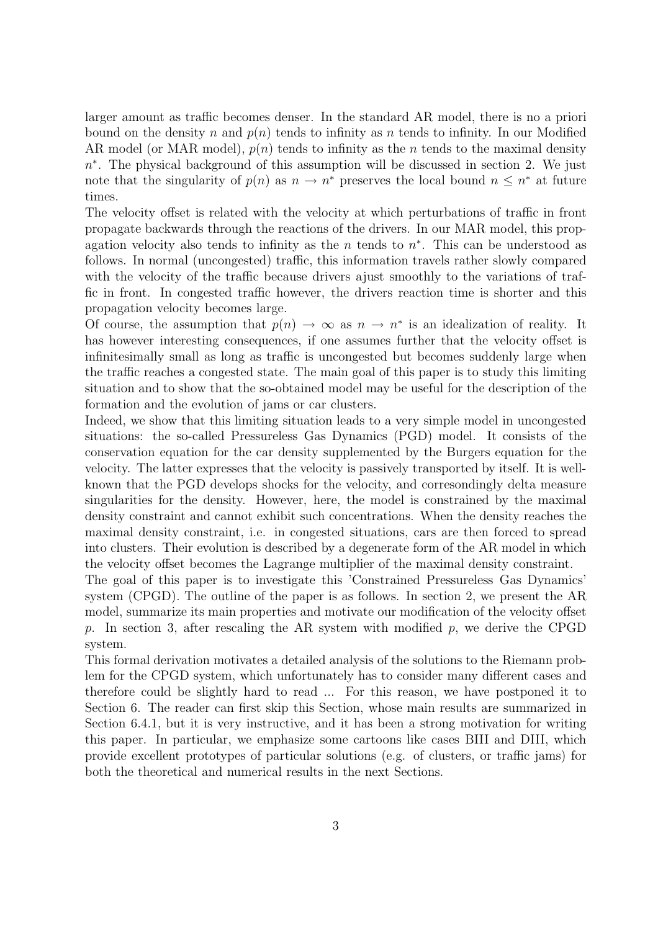larger amount as traffic becomes denser. In the standard AR model, there is no a priori bound on the density n and  $p(n)$  tends to infinity as n tends to infinity. In our Modified AR model (or MAR model),  $p(n)$  tends to infinity as the n tends to the maximal density  $n^*$ . The physical background of this assumption will be discussed in section 2. We just note that the singularity of  $p(n)$  as  $n \to n^*$  preserves the local bound  $n \leq n^*$  at future times.

The velocity offset is related with the velocity at which perturbations of traffic in front propagate backwards through the reactions of the drivers. In our MAR model, this propagation velocity also tends to infinity as the  $n$  tends to  $n^*$ . This can be understood as follows. In normal (uncongested) traffic, this information travels rather slowly compared with the velocity of the traffic because drivers ajust smoothly to the variations of traffic in front. In congested traffic however, the drivers reaction time is shorter and this propagation velocity becomes large.

Of course, the assumption that  $p(n) \to \infty$  as  $n \to n^*$  is an idealization of reality. It has however interesting consequences, if one assumes further that the velocity offset is infinitesimally small as long as traffic is uncongested but becomes suddenly large when the traffic reaches a congested state. The main goal of this paper is to study this limiting situation and to show that the so-obtained model may be useful for the description of the formation and the evolution of jams or car clusters.

Indeed, we show that this limiting situation leads to a very simple model in uncongested situations: the so-called Pressureless Gas Dynamics (PGD) model. It consists of the conservation equation for the car density supplemented by the Burgers equation for the velocity. The latter expresses that the velocity is passively transported by itself. It is wellknown that the PGD develops shocks for the velocity, and corresondingly delta measure singularities for the density. However, here, the model is constrained by the maximal density constraint and cannot exhibit such concentrations. When the density reaches the maximal density constraint, i.e. in congested situations, cars are then forced to spread into clusters. Their evolution is described by a degenerate form of the AR model in which the velocity offset becomes the Lagrange multiplier of the maximal density constraint.

The goal of this paper is to investigate this 'Constrained Pressureless Gas Dynamics' system (CPGD). The outline of the paper is as follows. In section 2, we present the AR model, summarize its main properties and motivate our modification of the velocity offset p. In section 3, after rescaling the AR system with modified p, we derive the CPGD system.

This formal derivation motivates a detailed analysis of the solutions to the Riemann problem for the CPGD system, which unfortunately has to consider many different cases and therefore could be slightly hard to read ... For this reason, we have postponed it to Section 6. The reader can first skip this Section, whose main results are summarized in Section 6.4.1, but it is very instructive, and it has been a strong motivation for writing this paper. In particular, we emphasize some cartoons like cases BIII and DIII, which provide excellent prototypes of particular solutions (e.g. of clusters, or traffic jams) for both the theoretical and numerical results in the next Sections.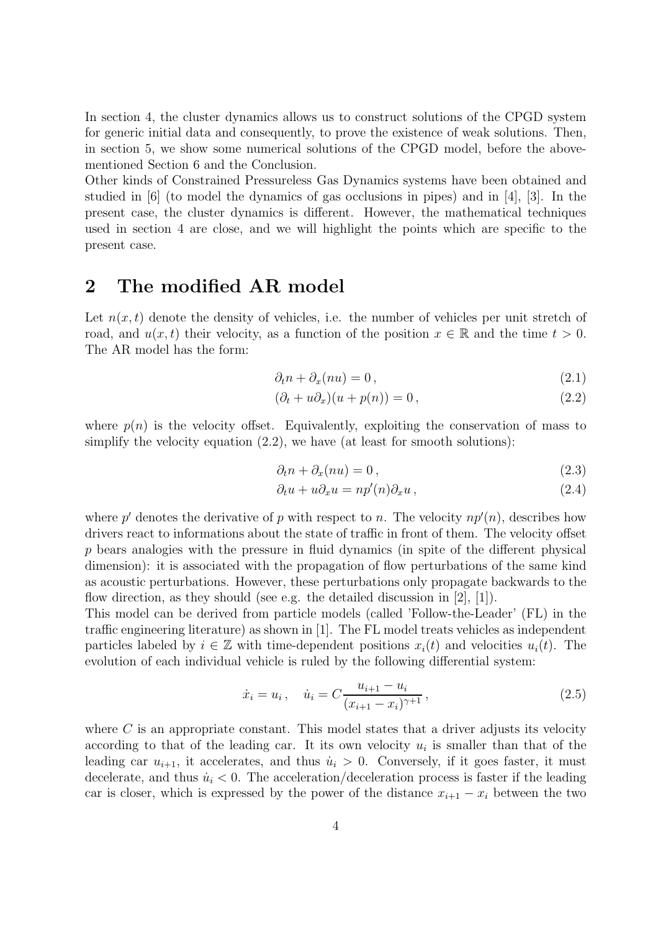In section 4, the cluster dynamics allows us to construct solutions of the CPGD system for generic initial data and consequently, to prove the existence of weak solutions. Then, in section 5, we show some numerical solutions of the CPGD model, before the abovementioned Section 6 and the Conclusion.

Other kinds of Constrained Pressureless Gas Dynamics systems have been obtained and studied in [6] (to model the dynamics of gas occlusions in pipes) and in [4], [3]. In the present case, the cluster dynamics is different. However, the mathematical techniques used in section 4 are close, and we will highlight the points which are specific to the present case.

## 2 The modified AR model

Let  $n(x, t)$  denote the density of vehicles, i.e. the number of vehicles per unit stretch of road, and  $u(x, t)$  their velocity, as a function of the position  $x \in \mathbb{R}$  and the time  $t > 0$ . The AR model has the form:

$$
\partial_t n + \partial_x (nu) = 0, \qquad (2.1)
$$

$$
(\partial_t + u\partial_x)(u + p(n)) = 0, \qquad (2.2)
$$

where  $p(n)$  is the velocity offset. Equivalently, exploiting the conservation of mass to simplify the velocity equation  $(2.2)$ , we have (at least for smooth solutions):

$$
\partial_t n + \partial_x (nu) = 0, \qquad (2.3)
$$

$$
\partial_t u + u \partial_x u = n p'(n) \partial_x u , \qquad (2.4)
$$

where  $p'$  denotes the derivative of p with respect to n. The velocity  $np'(n)$ , describes how drivers react to informations about the state of traffic in front of them. The velocity offset p bears analogies with the pressure in fluid dynamics (in spite of the different physical dimension): it is associated with the propagation of flow perturbations of the same kind as acoustic perturbations. However, these perturbations only propagate backwards to the flow direction, as they should (see e.g. the detailed discussion in  $[2]$ ,  $[1]$ ).

This model can be derived from particle models (called 'Follow-the-Leader' (FL) in the traffic engineering literature) as shown in [1]. The FL model treats vehicles as independent particles labeled by  $i \in \mathbb{Z}$  with time-dependent positions  $x_i(t)$  and velocities  $u_i(t)$ . The evolution of each individual vehicle is ruled by the following differential system:

$$
\dot{x}_i = u_i, \quad \dot{u}_i = C \frac{u_{i+1} - u_i}{(x_{i+1} - x_i)^{\gamma+1}},
$$
\n(2.5)

where  $C$  is an appropriate constant. This model states that a driver adjusts its velocity according to that of the leading car. It its own velocity  $u_i$  is smaller than that of the leading car  $u_{i+1}$ , it accelerates, and thus  $\dot{u}_i > 0$ . Conversely, if it goes faster, it must decelerate, and thus  $\dot{u}_i < 0$ . The acceleration/deceleration process is faster if the leading car is closer, which is expressed by the power of the distance  $x_{i+1} - x_i$  between the two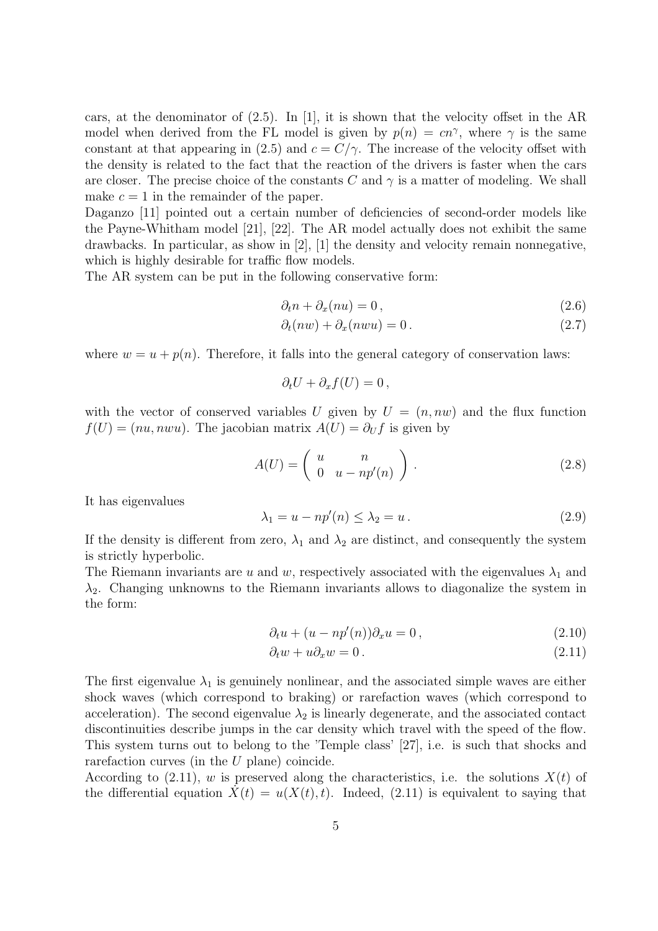cars, at the denominator of  $(2.5)$ . In [1], it is shown that the velocity offset in the AR model when derived from the FL model is given by  $p(n) = cn^{\gamma}$ , where  $\gamma$  is the same constant at that appearing in (2.5) and  $c = C/\gamma$ . The increase of the velocity offset with the density is related to the fact that the reaction of the drivers is faster when the cars are closer. The precise choice of the constants C and  $\gamma$  is a matter of modeling. We shall make  $c = 1$  in the remainder of the paper.

Daganzo [11] pointed out a certain number of deficiencies of second-order models like the Payne-Whitham model [21], [22]. The AR model actually does not exhibit the same drawbacks. In particular, as show in  $|2|$ ,  $|1|$  the density and velocity remain nonnegative, which is highly desirable for traffic flow models.

The AR system can be put in the following conservative form:

$$
\partial_t n + \partial_x (nu) = 0, \qquad (2.6)
$$

$$
\partial_t(nw) + \partial_x(nwu) = 0. \tag{2.7}
$$

where  $w = u + p(n)$ . Therefore, it falls into the general category of conservation laws:

$$
\partial_t U + \partial_x f(U) = 0 \,,
$$

with the vector of conserved variables U given by  $U = (n, nw)$  and the flux function  $f(U) = (nu, nwu)$ . The jacobian matrix  $A(U) = \partial_U f$  is given by

$$
A(U) = \left(\begin{array}{cc} u & n \\ 0 & u - np'(n) \end{array}\right). \tag{2.8}
$$

It has eigenvalues

$$
\lambda_1 = u - np'(n) \le \lambda_2 = u. \tag{2.9}
$$

If the density is different from zero,  $\lambda_1$  and  $\lambda_2$  are distinct, and consequently the system is strictly hyperbolic.

The Riemann invariants are u and w, respectively associated with the eigenvalues  $\lambda_1$  and  $\lambda_2$ . Changing unknowns to the Riemann invariants allows to diagonalize the system in the form:

$$
\partial_t u + (u - np'(n))\partial_x u = 0, \qquad (2.10)
$$

$$
\partial_t w + u \partial_x w = 0. \tag{2.11}
$$

The first eigenvalue  $\lambda_1$  is genuinely nonlinear, and the associated simple waves are either shock waves (which correspond to braking) or rarefaction waves (which correspond to acceleration). The second eigenvalue  $\lambda_2$  is linearly degenerate, and the associated contact discontinuities describe jumps in the car density which travel with the speed of the flow. This system turns out to belong to the 'Temple class' [27], i.e. is such that shocks and rarefaction curves (in the  $U$  plane) coincide.

According to  $(2.11)$ , w is preserved along the characteristics, i.e. the solutions  $X(t)$  of the differential equation  $\dot{X}(t) = u(X(t), t)$ . Indeed, (2.11) is equivalent to saying that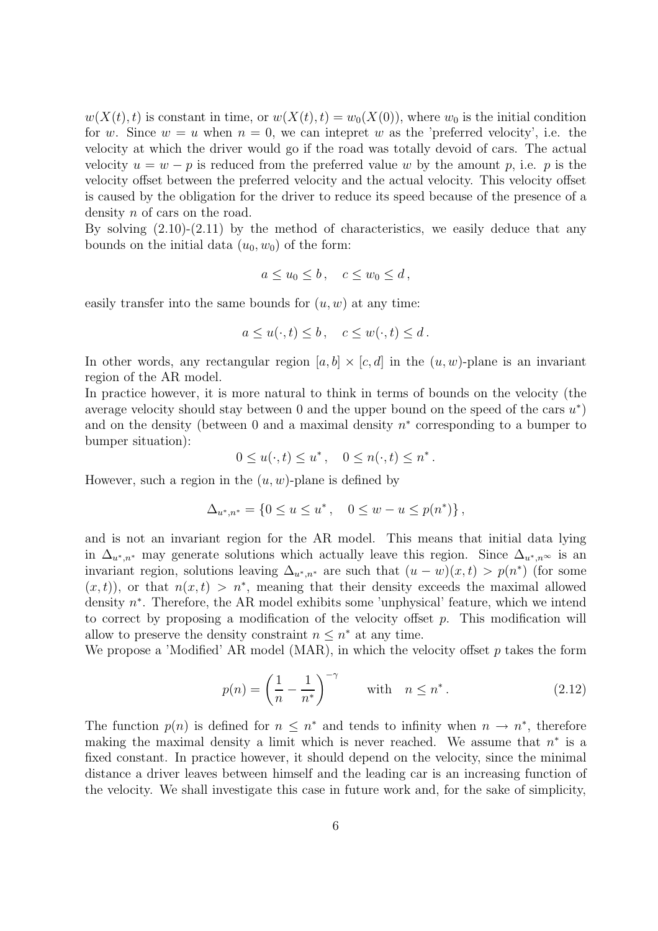$w(X(t), t)$  is constant in time, or  $w(X(t), t) = w_0(X(0))$ , where  $w_0$  is the initial condition for w. Since  $w = u$  when  $n = 0$ , we can intepret w as the 'preferred velocity', i.e. the velocity at which the driver would go if the road was totally devoid of cars. The actual velocity  $u = w - p$  is reduced from the preferred value w by the amount p, i.e. p is the velocity offset between the preferred velocity and the actual velocity. This velocity offset is caused by the obligation for the driver to reduce its speed because of the presence of a density *n* of cars on the road.

By solving  $(2.10)-(2.11)$  by the method of characteristics, we easily deduce that any bounds on the initial data  $(u_0, w_0)$  of the form:

$$
a \le u_0 \le b \,, \quad c \le w_0 \le d \,,
$$

easily transfer into the same bounds for  $(u, w)$  at any time:

$$
a \le u(\cdot, t) \le b, \quad c \le w(\cdot, t) \le d.
$$

In other words, any rectangular region  $[a, b] \times [c, d]$  in the  $(u, w)$ -plane is an invariant region of the AR model.

In practice however, it is more natural to think in terms of bounds on the velocity (the average velocity should stay between 0 and the upper bound on the speed of the cars  $u^*$ ) and on the density (between  $0$  and a maximal density  $n^*$  corresponding to a bumper to bumper situation):

$$
0 \le u(\cdot, t) \le u^*, \quad 0 \le n(\cdot, t) \le n^*.
$$

However, such a region in the  $(u, w)$ -plane is defined by

$$
\Delta_{u^*,n^*} = \{0 \le u \le u^*, \quad 0 \le w - u \le p(n^*)\},\
$$

and is not an invariant region for the AR model. This means that initial data lying in  $\Delta_{u^*,n^*}$  may generate solutions which actually leave this region. Since  $\Delta_{u^*,n^*}$  is an invariant region, solutions leaving  $\Delta_{u^*,n^*}$  are such that  $(u-w)(x,t) > p(n^*)$  (for some  $(x, t)$ , or that  $n(x, t) > n^*$ , meaning that their density exceeds the maximal allowed density  $n^*$ . Therefore, the AR model exhibits some 'unphysical' feature, which we intend to correct by proposing a modification of the velocity offset  $p$ . This modification will allow to preserve the density constraint  $n \leq n^*$  at any time.

We propose a 'Modified' AR model (MAR), in which the velocity offset  $p$  takes the form

$$
p(n) = \left(\frac{1}{n} - \frac{1}{n^*}\right)^{-\gamma} \quad \text{with} \quad n \le n^* \,. \tag{2.12}
$$

The function  $p(n)$  is defined for  $n \leq n^*$  and tends to infinity when  $n \to n^*$ , therefore making the maximal density a limit which is never reached. We assume that  $n^*$  is a fixed constant. In practice however, it should depend on the velocity, since the minimal distance a driver leaves between himself and the leading car is an increasing function of the velocity. We shall investigate this case in future work and, for the sake of simplicity,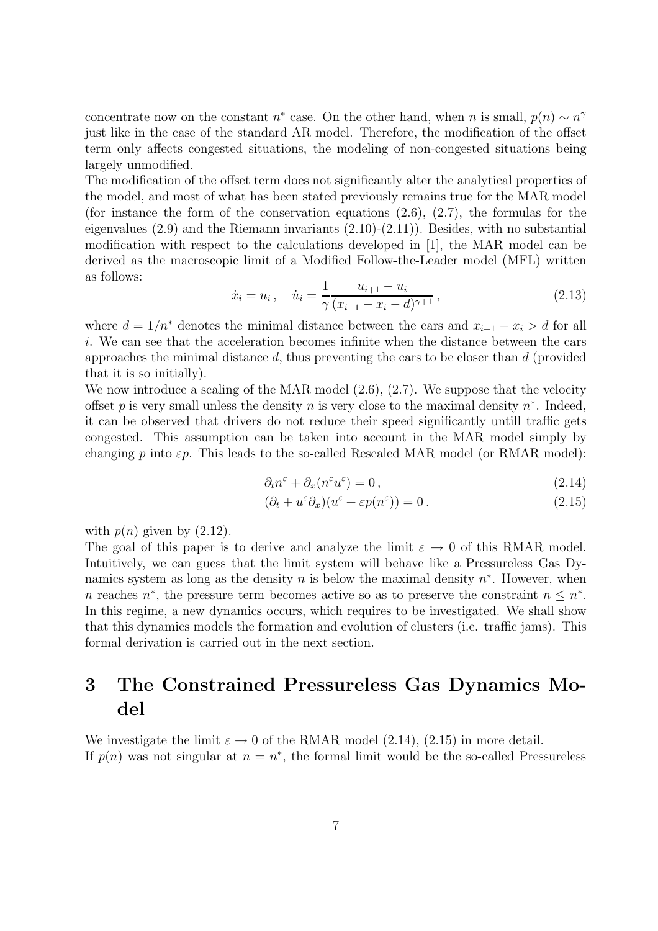concentrate now on the constant  $n^*$  case. On the other hand, when n is small,  $p(n) \sim n^{\gamma}$ just like in the case of the standard AR model. Therefore, the modification of the offset term only affects congested situations, the modeling of non-congested situations being largely unmodified.

The modification of the offset term does not significantly alter the analytical properties of the model, and most of what has been stated previously remains true for the MAR model (for instance the form of the conservation equations  $(2.6)$ ,  $(2.7)$ , the formulas for the eigenvalues (2.9) and the Riemann invariants (2.10)-(2.11)). Besides, with no substantial modification with respect to the calculations developed in [1], the MAR model can be derived as the macroscopic limit of a Modified Follow-the-Leader model (MFL) written as follows:

$$
\dot{x}_i = u_i, \quad \dot{u}_i = \frac{1}{\gamma} \frac{u_{i+1} - u_i}{(x_{i+1} - x_i - d)^{\gamma+1}},\tag{2.13}
$$

where  $d = 1/n^*$  denotes the minimal distance between the cars and  $x_{i+1} - x_i > d$  for all i. We can see that the acceleration becomes infinite when the distance between the cars approaches the minimal distance  $d$ , thus preventing the cars to be closer than  $d$  (provided that it is so initially).

We now introduce a scaling of the MAR model  $(2.6), (2.7)$ . We suppose that the velocity offset p is very small unless the density n is very close to the maximal density  $n^*$ . Indeed, it can be observed that drivers do not reduce their speed significantly untill traffic gets congested. This assumption can be taken into account in the MAR model simply by changing p into  $\varepsilon p$ . This leads to the so-called Rescaled MAR model (or RMAR model):

$$
\partial_t n^{\varepsilon} + \partial_x (n^{\varepsilon} u^{\varepsilon}) = 0, \qquad (2.14)
$$

$$
(\partial_t + u^{\varepsilon} \partial_x)(u^{\varepsilon} + \varepsilon p(n^{\varepsilon})) = 0.
$$
\n(2.15)

with  $p(n)$  given by  $(2.12)$ .

The goal of this paper is to derive and analyze the limit  $\varepsilon \to 0$  of this RMAR model. Intuitively, we can guess that the limit system will behave like a Pressureless Gas Dynamics system as long as the density  $n$  is below the maximal density  $n^*$ . However, when n reaches  $n^*$ , the pressure term becomes active so as to preserve the constraint  $n \leq n^*$ . In this regime, a new dynamics occurs, which requires to be investigated. We shall show that this dynamics models the formation and evolution of clusters (i.e. traffic jams). This formal derivation is carried out in the next section.

# 3 The Constrained Pressureless Gas Dynamics Model

We investigate the limit  $\varepsilon \to 0$  of the RMAR model (2.14), (2.15) in more detail. If  $p(n)$  was not singular at  $n = n^*$ , the formal limit would be the so-called Pressureless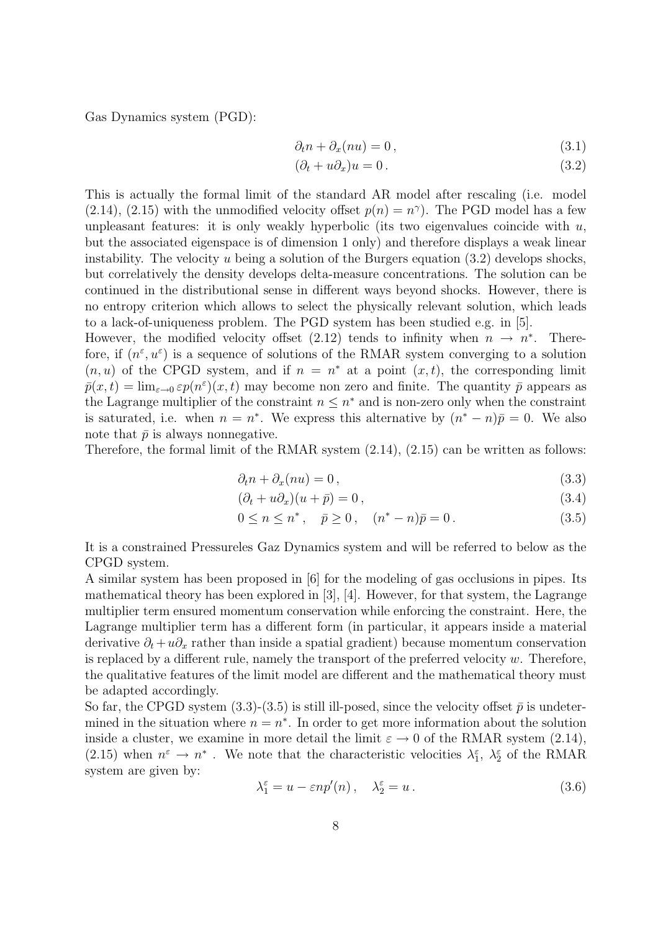Gas Dynamics system (PGD):

$$
\partial_t n + \partial_x (nu) = 0, \qquad (3.1)
$$

$$
(\partial_t + u\partial_x)u = 0.
$$
\n(3.2)

This is actually the formal limit of the standard AR model after rescaling (i.e. model (2.14), (2.15) with the unmodified velocity offset  $p(n) = n^{\gamma}$ ). The PGD model has a few unpleasant features: it is only weakly hyperbolic (its two eigenvalues coincide with  $u$ , but the associated eigenspace is of dimension 1 only) and therefore displays a weak linear instability. The velocity u being a solution of the Burgers equation  $(3.2)$  develops shocks, but correlatively the density develops delta-measure concentrations. The solution can be continued in the distributional sense in different ways beyond shocks. However, there is no entropy criterion which allows to select the physically relevant solution, which leads to a lack-of-uniqueness problem. The PGD system has been studied e.g. in [5].

However, the modified velocity offset (2.12) tends to infinity when  $n \to n^*$ . Therefore, if  $(n^{\varepsilon}, u^{\varepsilon})$  is a sequence of solutions of the RMAR system converging to a solution  $(n, u)$  of the CPGD system, and if  $n = n^*$  at a point  $(x, t)$ , the corresponding limit  $\bar{p}(x,t) = \lim_{\varepsilon \to 0} \varepsilon p(n^{\varepsilon})(x,t)$  may become non zero and finite. The quantity  $\bar{p}$  appears as the Lagrange multiplier of the constraint  $n \leq n^*$  and is non-zero only when the constraint is saturated, i.e. when  $n = n^*$ . We express this alternative by  $(n^* - n)\bar{p} = 0$ . We also note that  $\bar{p}$  is always nonnegative.

Therefore, the formal limit of the RMAR system  $(2.14)$ ,  $(2.15)$  can be written as follows:

$$
\partial_t n + \partial_x (nu) = 0, \tag{3.3}
$$

$$
(\partial_t + u\partial_x)(u + \bar{p}) = 0, \qquad (3.4)
$$

$$
0 \le n \le n^*, \quad \bar{p} \ge 0, \quad (n^* - n)\bar{p} = 0. \tag{3.5}
$$

It is a constrained Pressureles Gaz Dynamics system and will be referred to below as the CPGD system.

A similar system has been proposed in [6] for the modeling of gas occlusions in pipes. Its mathematical theory has been explored in [3], [4]. However, for that system, the Lagrange multiplier term ensured momentum conservation while enforcing the constraint. Here, the Lagrange multiplier term has a different form (in particular, it appears inside a material derivative  $\partial_t + u \partial_x$  rather than inside a spatial gradient) because momentum conservation is replaced by a different rule, namely the transport of the preferred velocity  $w$ . Therefore, the qualitative features of the limit model are different and the mathematical theory must be adapted accordingly.

So far, the CPGD system  $(3.3)-(3.5)$  is still ill-posed, since the velocity offset  $\bar{p}$  is undetermined in the situation where  $n = n^*$ . In order to get more information about the solution inside a cluster, we examine in more detail the limit  $\varepsilon \to 0$  of the RMAR system (2.14), (2.15) when  $n^{\varepsilon} \to n^*$ . We note that the characteristic velocities  $\lambda_1^{\varepsilon}$ ,  $\lambda_2^{\varepsilon}$  of the RMAR system are given by:

$$
\lambda_1^{\varepsilon} = u - \varepsilon n p'(n) , \quad \lambda_2^{\varepsilon} = u . \tag{3.6}
$$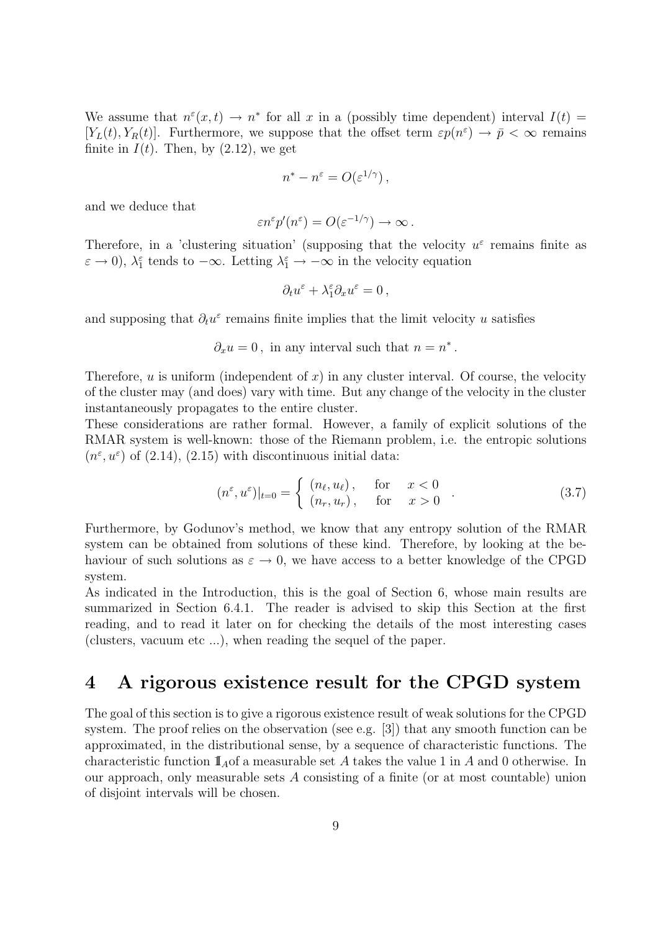We assume that  $n^{\varepsilon}(x,t) \to n^*$  for all x in a (possibly time dependent) interval  $I(t) =$  $[Y_L(t), Y_R(t)]$ . Furthermore, we suppose that the offset term  $\varepsilon p(n^{\varepsilon}) \to \bar{p} < \infty$  remains finite in  $I(t)$ . Then, by  $(2.12)$ , we get

$$
n^* - n^{\varepsilon} = O(\varepsilon^{1/\gamma}),
$$

and we deduce that

$$
\varepsilon n^{\varepsilon} p'(n^{\varepsilon}) = O(\varepsilon^{-1/\gamma}) \to \infty.
$$

Therefore, in a 'clustering situation' (supposing that the velocity  $u^{\varepsilon}$  remains finite as  $\varepsilon \to 0$ ),  $\lambda_1^{\varepsilon}$  tends to  $-\infty$ . Letting  $\lambda_1^{\varepsilon} \to -\infty$  in the velocity equation

$$
\partial_t u^{\varepsilon} + \lambda_1^{\varepsilon} \partial_x u^{\varepsilon} = 0 \,,
$$

and supposing that  $\partial_t u^{\varepsilon}$  remains finite implies that the limit velocity u satisfies

 $\partial_x u = 0$ , in any interval such that  $n = n^*$ .

Therefore, u is uniform (independent of x) in any cluster interval. Of course, the velocity of the cluster may (and does) vary with time. But any change of the velocity in the cluster instantaneously propagates to the entire cluster.

These considerations are rather formal. However, a family of explicit solutions of the RMAR system is well-known: those of the Riemann problem, i.e. the entropic solutions  $(n^{\epsilon}, u^{\epsilon})$  of (2.14), (2.15) with discontinuous initial data:

$$
(n^{\varepsilon}, u^{\varepsilon})|_{t=0} = \begin{cases} (n_{\ell}, u_{\ell}), & \text{for } x < 0\\ (n_r, u_r), & \text{for } x > 0 \end{cases} (3.7)
$$

Furthermore, by Godunov's method, we know that any entropy solution of the RMAR system can be obtained from solutions of these kind. Therefore, by looking at the behaviour of such solutions as  $\varepsilon \to 0$ , we have access to a better knowledge of the CPGD system.

As indicated in the Introduction, this is the goal of Section 6, whose main results are summarized in Section 6.4.1. The reader is advised to skip this Section at the first reading, and to read it later on for checking the details of the most interesting cases (clusters, vacuum etc ...), when reading the sequel of the paper.

## 4 A rigorous existence result for the CPGD system

The goal of this section is to give a rigorous existence result of weak solutions for the CPGD system. The proof relies on the observation (see e.g. [3]) that any smooth function can be approximated, in the distributional sense, by a sequence of characteristic functions. The characteristic function  $\mathbb{I}$ <sub>A</sub>of a measurable set A takes the value 1 in A and 0 otherwise. In our approach, only measurable sets  $A$  consisting of a finite (or at most countable) union of disjoint intervals will be chosen.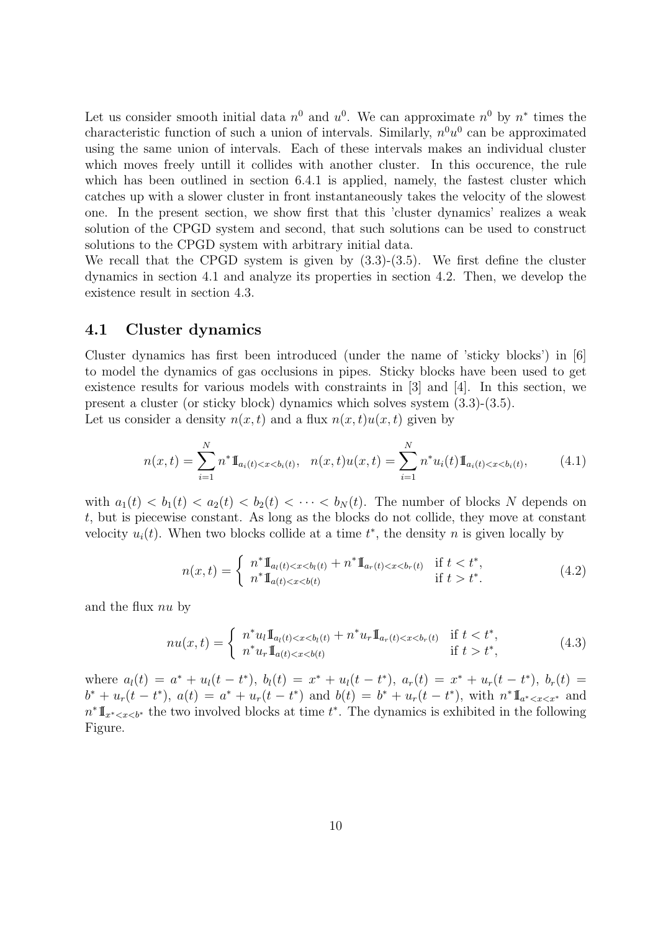Let us consider smooth initial data  $n^0$  and  $u^0$ . We can approximate  $n^0$  by  $n^*$  times the characteristic function of such a union of intervals. Similarly,  $n^0u^0$  can be approximated using the same union of intervals. Each of these intervals makes an individual cluster which moves freely untill it collides with another cluster. In this occurence, the rule which has been outlined in section 6.4.1 is applied, namely, the fastest cluster which catches up with a slower cluster in front instantaneously takes the velocity of the slowest one. In the present section, we show first that this 'cluster dynamics' realizes a weak solution of the CPGD system and second, that such solutions can be used to construct solutions to the CPGD system with arbitrary initial data.

We recall that the CPGD system is given by  $(3.3)-(3.5)$ . We first define the cluster dynamics in section 4.1 and analyze its properties in section 4.2. Then, we develop the existence result in section 4.3.

### 4.1 Cluster dynamics

Cluster dynamics has first been introduced (under the name of 'sticky blocks') in [6] to model the dynamics of gas occlusions in pipes. Sticky blocks have been used to get existence results for various models with constraints in [3] and [4]. In this section, we present a cluster (or sticky block) dynamics which solves system (3.3)-(3.5). Let us consider a density  $n(x, t)$  and a flux  $n(x, t)u(x, t)$  given by

$$
n(x,t) = \sum_{i=1}^{N} n^* \mathbb{I}_{a_i(t) < x < b_i(t)}, \quad n(x,t)u(x,t) = \sum_{i=1}^{N} n^* u_i(t) \mathbb{I}_{a_i(t) < x < b_i(t)},\tag{4.1}
$$

with  $a_1(t) < b_1(t) < a_2(t) < b_2(t) < \cdots < b_N(t)$ . The number of blocks N depends on t, but is piecewise constant. As long as the blocks do not collide, they move at constant velocity  $u_i(t)$ . When two blocks collide at a time  $t^*$ , the density n is given locally by

$$
n(x,t) = \begin{cases} n^* \mathbb{I}_{a_l(t) < x < b_l(t) + n^* \mathbb{I}_{a_r(t) < x < b_r(t) \text{ if } t < t^*, \\ n^* \mathbb{I}_{a(t) < x < b(t) \text{ if } t > t^*. \end{cases} \tag{4.2}
$$

and the flux nu by

$$
nu(x,t) = \begin{cases} n^*u_l \mathbb{I}_{a_l(t) < x < b_l(t) + n^*u_r \mathbb{I}_{a_r(t) < x < b_r(t) \text{ if } t < t^*, \\ n^*u_r \mathbb{I}_{a(t) < x < b(t) \text{ if } t > t^*, \end{cases} \tag{4.3}
$$

where  $a_l(t) = a^* + u_l(t - t^*)$ ,  $b_l(t) = x^* + u_l(t - t^*)$ ,  $a_r(t) = x^* + u_r(t - t^*)$ ,  $b_r(t) =$  $b^* + u_r(t - t^*), a(t) = a^* + u_r(t - t^*)$  and  $b(t) = b^* + u_r(t - t^*),$  with  $n^* \mathbb{I}_{a^* < x < x^*}$  and  $n^* \mathbb{I}_{x^* < x < b^*}$  the two involved blocks at time  $t^*$ . The dynamics is exhibited in the following Figure.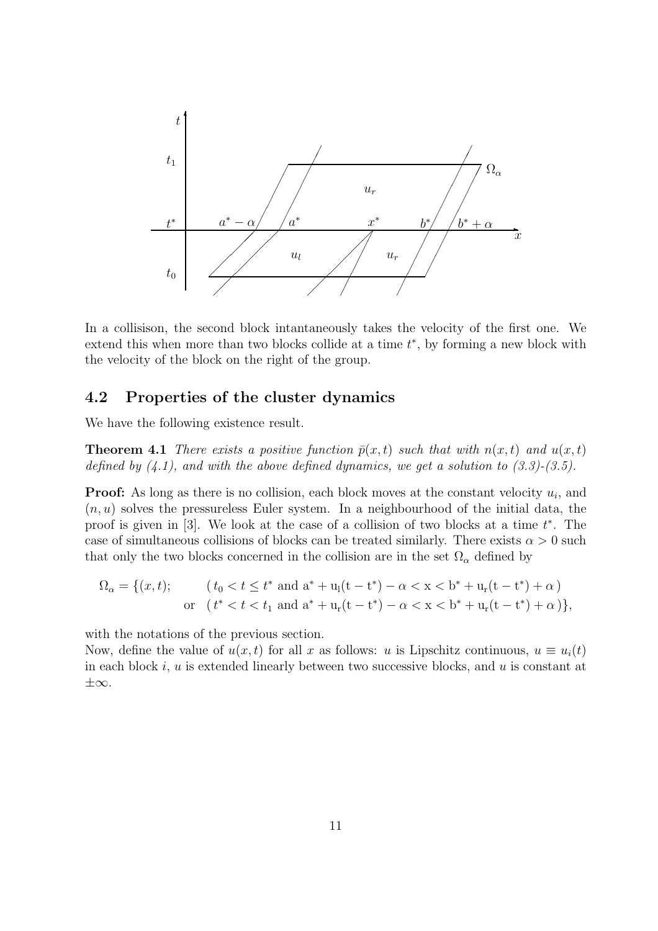

In a collisison, the second block intantaneously takes the velocity of the first one. We extend this when more than two blocks collide at a time  $t^*$ , by forming a new block with the velocity of the block on the right of the group.

### 4.2 Properties of the cluster dynamics

We have the following existence result.

**Theorem 4.1** There exists a positive function  $\bar{p}(x,t)$  such that with  $n(x,t)$  and  $u(x,t)$ defined by  $(4.1)$ , and with the above defined dynamics, we get a solution to  $(3.3)-(3.5)$ .

**Proof:** As long as there is no collision, each block moves at the constant velocity  $u_i$ , and  $(n, u)$  solves the pressureless Euler system. In a neighbourhood of the initial data, the proof is given in  $[3]$ . We look at the case of a collision of two blocks at a time  $t^*$ . The case of simultaneous collisions of blocks can be treated similarly. There exists  $\alpha > 0$  such that only the two blocks concerned in the collision are in the set  $\Omega_{\alpha}$  defined by

$$
\Omega_{\alpha} = \{ (x, t); \qquad (t_0 < t \le t^* \text{ and } a^* + u_1(t - t^*) - \alpha < x < b^* + u_r(t - t^*) + \alpha \}
$$
  
or  $(t^* < t < t_1 \text{ and } a^* + u_r(t - t^*) - \alpha < x < b^* + u_r(t - t^*) + \alpha ) \},$ 

with the notations of the previous section.

Now, define the value of  $u(x, t)$  for all x as follows: u is Lipschitz continuous,  $u \equiv u_i(t)$ in each block i, u is extended linearly between two successive blocks, and u is constant at ±∞.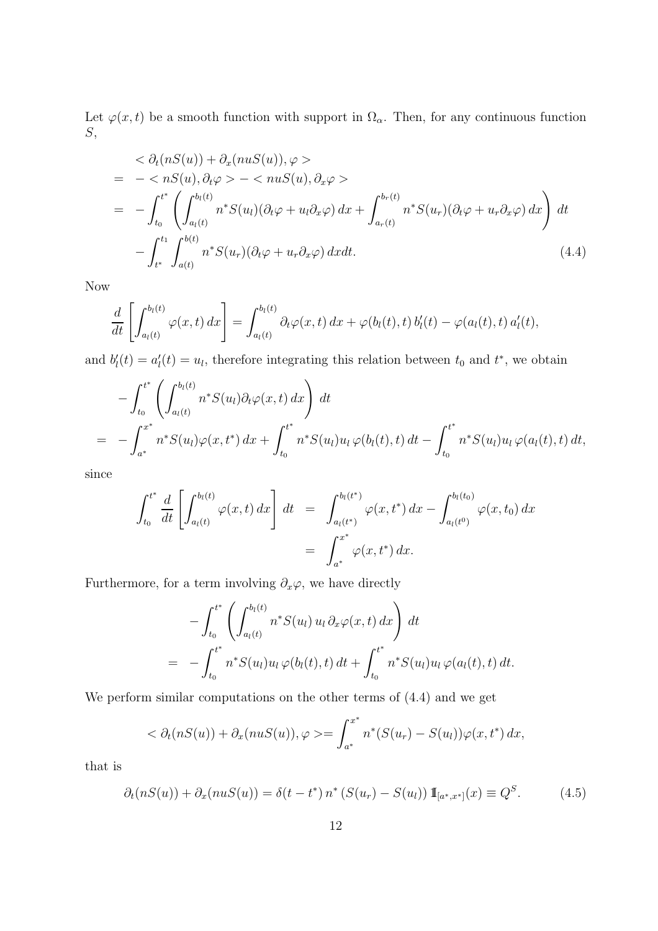Let  $\varphi(x,t)$  be a smooth function with support in  $\Omega_{\alpha}$ . Then, for any continuous function S,

$$
\langle \partial_t (nS(u)) + \partial_x (nuS(u)), \varphi \rangle
$$
  
= -\langle nS(u), \partial\_t \varphi \rangle - \langle nuS(u), \partial\_x \varphi \rangle  
= -\int\_{t\_0}^{t^\*} \left( \int\_{a\_l(t)}^{b\_l(t)} n^\* S(u\_l) (\partial\_t \varphi + u\_l \partial\_x \varphi) dx + \int\_{a\_r(t)}^{b\_r(t)} n^\* S(u\_r) (\partial\_t \varphi + u\_r \partial\_x \varphi) dx \right) dt  
- \int\_{t^\*}^{t\_1} \int\_{a(t)}^{b(t)} n^\* S(u\_r) (\partial\_t \varphi + u\_r \partial\_x \varphi) dx dt. \qquad (4.4)

Now

$$
\frac{d}{dt}\left[\int_{a_l(t)}^{b_l(t)} \varphi(x,t) dx\right] = \int_{a_l(t)}^{b_l(t)} \partial_t \varphi(x,t) dx + \varphi(b_l(t),t) b'_l(t) - \varphi(a_l(t),t) a'_l(t),
$$

and  $b'_{l}(t) = a'_{l}(t) = u_{l}$ , therefore integrating this relation between  $t_{0}$  and  $t^{*}$ , we obtain

$$
- \int_{t_0}^{t^*} \left( \int_{a_l(t)}^{b_l(t)} n^* S(u_l) \partial_t \varphi(x, t) dx \right) dt
$$
  
= 
$$
- \int_{a^*}^{x^*} n^* S(u_l) \varphi(x, t^*) dx + \int_{t_0}^{t^*} n^* S(u_l) u_l \varphi(b_l(t), t) dt - \int_{t_0}^{t^*} n^* S(u_l) u_l \varphi(a_l(t), t) dt,
$$

since

$$
\int_{t_0}^{t^*} \frac{d}{dt} \left[ \int_{a_l(t)}^{b_l(t)} \varphi(x, t) dx \right] dt = \int_{a_l(t^*)}^{b_l(t^*)} \varphi(x, t^*) dx - \int_{a_l(t^0)}^{b_l(t_0)} \varphi(x, t_0) dx
$$
  
= 
$$
\int_{a^*}^{x^*} \varphi(x, t^*) dx.
$$

Furthermore, for a term involving  $\partial_x \varphi$ , we have directly

$$
- \int_{t_0}^{t^*} \left( \int_{a_l(t)}^{b_l(t)} n^* S(u_l) u_l \, \partial_x \varphi(x, t) \, dx \right) dt
$$
  
= 
$$
- \int_{t_0}^{t^*} n^* S(u_l) u_l \, \varphi(b_l(t), t) \, dt + \int_{t_0}^{t^*} n^* S(u_l) u_l \, \varphi(a_l(t), t) \, dt.
$$

We perform similar computations on the other terms of (4.4) and we get

$$
\langle \partial_t (nS(u)) + \partial_x (nuS(u)), \varphi \rangle = \int_{a^*}^{x^*} n^* (S(u_r) - S(u_l)) \varphi(x, t^*) dx,
$$

that is

$$
\partial_t(nS(u)) + \partial_x(nuS(u)) = \delta(t - t^*) n^* (S(u_r) - S(u_l)) 1_{[a^*, x^*]}(x) \equiv Q^S.
$$
 (4.5)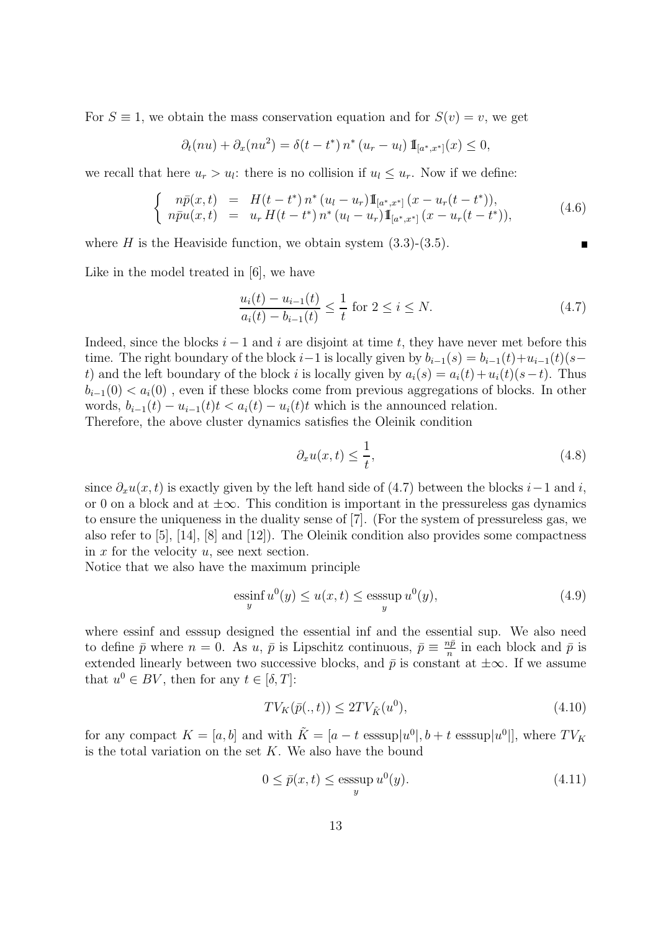For  $S \equiv 1$ , we obtain the mass conservation equation and for  $S(v) = v$ , we get

$$
\partial_t(nu) + \partial_x(nu^2) = \delta(t - t^*) n^* (u_r - u_l) \mathbb{I}_{[a^*, x^*]}(x) \leq 0,
$$

we recall that here  $u_r > u_l$ : there is no collision if  $u_l \leq u_r$ . Now if we define:

$$
\begin{cases}\n n\bar{p}(x,t) = H(t-t^*) n^* (u_l - u_r) 1\!\!\mathbb{I}_{[a^*,x^*]}(x - u_r(t-t^*)),\\ \n n\bar{p}u(x,t) = u_r H(t-t^*) n^* (u_l - u_r) 1\!\!\mathbb{I}_{[a^*,x^*]}(x - u_r(t-t^*)),\n\end{cases} \tag{4.6}
$$

where H is the Heaviside function, we obtain system  $(3.3)-(3.5)$ .

Like in the model treated in [6], we have

$$
\frac{u_i(t) - u_{i-1}(t)}{a_i(t) - b_{i-1}(t)} \le \frac{1}{t} \text{ for } 2 \le i \le N. \tag{4.7}
$$

Indeed, since the blocks  $i - 1$  and i are disjoint at time t, they have never met before this time. The right boundary of the block i–1 is locally given by  $b_{i-1}(s) = b_{i-1}(t)+u_{i-1}(t)(s$ t) and the left boundary of the block i is locally given by  $a_i(s) = a_i(t) + u_i(t)(s-t)$ . Thus  $b_{i-1}(0) < a_i(0)$ , even if these blocks come from previous aggregations of blocks. In other words,  $b_{i-1}(t) - u_{i-1}(t)t < a_i(t) - u_i(t)t$  which is the announced relation. Therefore, the above cluster dynamics satisfies the Oleinik condition

$$
\partial_x u(x,t) \le \frac{1}{t},\tag{4.8}
$$

since  $\partial_x u(x, t)$  is exactly given by the left hand side of (4.7) between the blocks i–1 and i, or 0 on a block and at  $\pm\infty$ . This condition is important in the pressureless gas dynamics to ensure the uniqueness in the duality sense of [7]. (For the system of pressureless gas, we also refer to [5], [14], [8] and [12]). The Oleinik condition also provides some compactness in  $x$  for the velocity  $u$ , see next section.

Notice that we also have the maximum principle

$$
\underset{y}{\text{essinf}} u^{0}(y) \le u(x,t) \le \underset{y}{\text{esssup}} u^{0}(y),\tag{4.9}
$$

where essinf and esssup designed the essential inf and the essential sup. We also need to define  $\bar{p}$  where  $n = 0$ . As u,  $\bar{p}$  is Lipschitz continuous,  $\bar{p} \equiv \frac{n\bar{p}}{n}$  $\frac{np}{n}$  in each block and  $\bar{p}$  is extended linearly between two successive blocks, and  $\bar{p}$  is constant at  $\pm \infty$ . If we assume that  $u^0 \in BV$ , then for any  $t \in [\delta, T]$ :

$$
TV_K(\bar{p}(.,t)) \le 2TV_{\tilde{K}}(u^0),\tag{4.10}
$$

for any compact  $K = [a, b]$  and with  $\tilde{K} = [a - t \text{ esssup}|u^0|, b + t \text{ esssup}|u^0|]$ , where  $TV_K$ is the total variation on the set  $K$ . We also have the bound

$$
0 \le \bar{p}(x, t) \le \operatorname*{esssup}_{y} u^{0}(y). \tag{4.11}
$$

П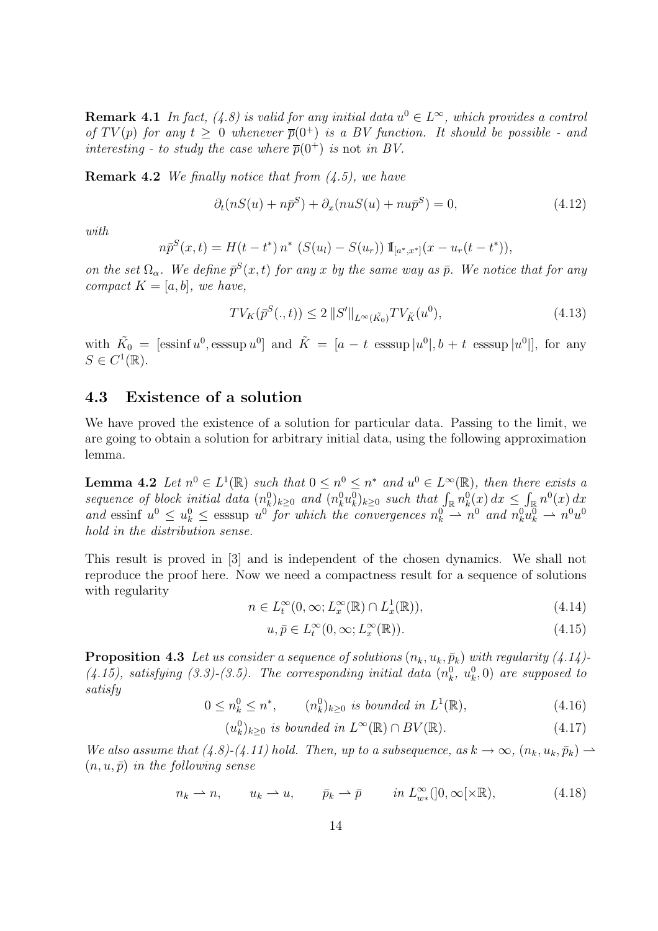**Remark 4.1** In fact, (4.8) is valid for any initial data  $u^0 \in L^{\infty}$ , which provides a control of  $TV(p)$  for any  $t > 0$  whenever  $\overline{p}(0^+)$  is a BV function. It should be possible - and interesting - to study the case where  $\overline{p}(0^+)$  is not in BV.

**Remark 4.2** We finally notice that from  $(4.5)$ , we have

$$
\partial_t (nS(u) + n\bar{p}^S) + \partial_x (nuS(u) + nu\bar{p}^S) = 0,\t(4.12)
$$

with

$$
n\bar{p}^{S}(x,t) = H(t-t^{*}) n^{*} (S(u_{l}) - S(u_{r})) 1\!\!1_{[a^{*},x^{*}]}(x - u_{r}(t-t^{*})),
$$

on the set  $\Omega_{\alpha}$ . We define  $\bar{p}^{S}(x,t)$  for any x by the same way as  $\bar{p}$ . We notice that for any compact  $K = [a, b]$ , we have,

$$
TV_K(\bar{p}^S(.,t)) \le 2 ||S'||_{L^{\infty}(\tilde{K_0})} TV_{\tilde{K}}(u^0),
$$
\n(4.13)

with  $\tilde{K}_0 = [\text{essinf } u^0, \text{esssup } u^0]$  and  $\tilde{K} = [a - t \text{esssup } |u^0|, b + t \text{esssup } |u^0|]$ , for any  $S \in C^1(\mathbb{R})$ .

### 4.3 Existence of a solution

We have proved the existence of a solution for particular data. Passing to the limit, we are going to obtain a solution for arbitrary initial data, using the following approximation lemma.

**Lemma 4.2** Let  $n^0 \in L^1(\mathbb{R})$  such that  $0 \leq n^0 \leq n^*$  and  $u^0 \in L^{\infty}(\mathbb{R})$ , then there exists a sequence of block initial data  $(n_k^0)_{k\geq 0}$  and  $(n_k^0 u_k^0)_{k\geq 0}$  such that  $\int_{\mathbb{R}} n_k^0(x) dx \leq \int_{\mathbb{R}} n^0(x) dx$ and essinf  $u^0 \leq u^0 \leq$  esssup  $u^0$  for which the convergences  $n^0 \to n^0$  and  $n^0_k u^0 \to n^0 u^0$ hold in the distribution sense.

This result is proved in [3] and is independent of the chosen dynamics. We shall not reproduce the proof here. Now we need a compactness result for a sequence of solutions with regularity

$$
n \in L_t^{\infty}(0, \infty; L_x^{\infty}(\mathbb{R}) \cap L_x^1(\mathbb{R})),
$$
\n(4.14)

$$
u, \bar{p} \in L_t^{\infty}(0, \infty; L_x^{\infty}(\mathbb{R})).
$$
\n(4.15)

**Proposition 4.3** Let us consider a sequence of solutions  $(n_k, u_k, \bar{p}_k)$  with regularity (4.14)- $(4.15)$ , satisfying  $(3.3)-(3.5)$ . The corresponding initial data  $(n_k^0, u_k^0, 0)$  are supposed to satisfy

> $0 \leq n_k^0 \leq n^*$ ,  $(n_k^0)_{k \geq 0}$  is bounded in  $L^1$  $(4.16)$

$$
(u_k^0)_{k\geq 0} \text{ is bounded in } L^{\infty}(\mathbb{R}) \cap BV(\mathbb{R}).\tag{4.17}
$$

We also assume that  $(4.8)-(4.11)$  hold. Then, up to a subsequence, as  $k \to \infty$ ,  $(n_k, u_k, \bar{p}_k) \to$  $(n, u, \bar{p})$  in the following sense

$$
n_k \rightharpoonup n, \qquad u_k \rightharpoonup u, \qquad \bar{p}_k \rightharpoonup \bar{p} \qquad in \ L_{w*}^{\infty}(]0, \infty[\times \mathbb{R}), \tag{4.18}
$$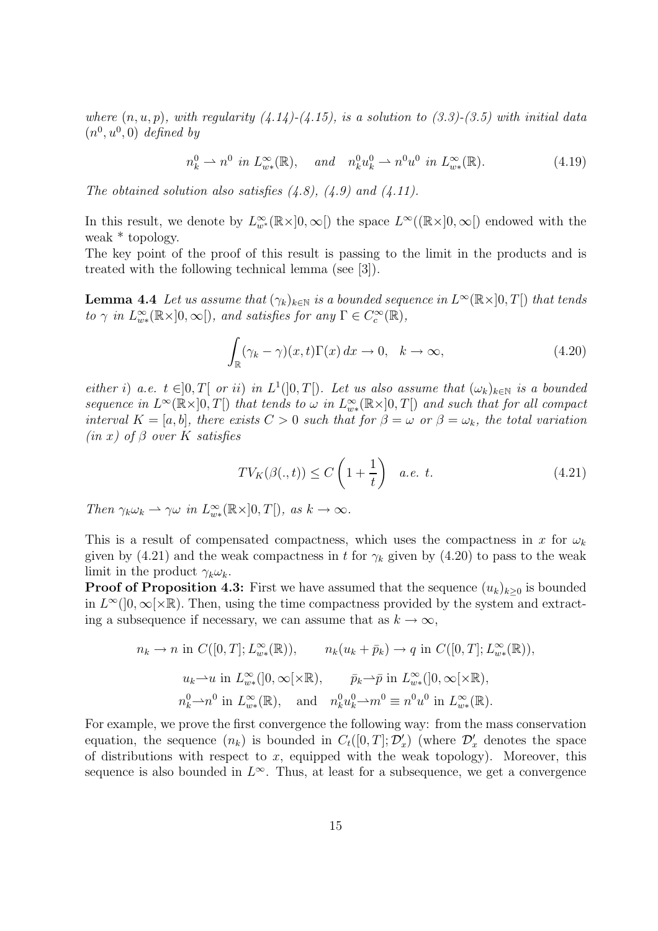where  $(n, u, p)$ , with regularity  $(4.14)-(4.15)$ , is a solution to  $(3.3)-(3.5)$  with initial data  $(n^0, u^0, 0)$  defined by

$$
n_k^0 \rightharpoonup n^0 \text{ in } L_{w*}^{\infty}(\mathbb{R}), \quad \text{and} \quad n_k^0 u_k^0 \rightharpoonup n^0 u^0 \text{ in } L_{w*}^{\infty}(\mathbb{R}). \tag{4.19}
$$

The obtained solution also satisfies  $(4.8)$ ,  $(4.9)$  and  $(4.11)$ .

In this result, we denote by  $L^{\infty}_{w^*}(\mathbb{R} \times ]0, \infty[)$  the space  $L^{\infty}((\mathbb{R} \times ]0, \infty[)$  endowed with the weak \* topology.

The key point of the proof of this result is passing to the limit in the products and is treated with the following technical lemma (see [3]).

**Lemma 4.4** Let us assume that  $(\gamma_k)_{k \in \mathbb{N}}$  is a bounded sequence in  $L^{\infty}(\mathbb{R} \times ]0, T[)$  that tends to  $\gamma$  in  $L^{\infty}_{w*}(\mathbb{R} \times ]0, \infty[$ , and satisfies for any  $\Gamma \in C^{\infty}_c(\mathbb{R})$ ,

$$
\int_{\mathbb{R}} (\gamma_k - \gamma)(x, t) \Gamma(x) dx \to 0, \quad k \to \infty,
$$
\n(4.20)

either i) a.e.  $t \in ]0,T[$  or ii) in  $L^1(]0,T[)$ . Let us also assume that  $(\omega_k)_{k\in\mathbb{N}}$  is a bounded sequence in  $L^{\infty}(\mathbb{R} \times ]0,T[)$  that tends to  $\omega$  in  $L^{\infty}_{w*}(\mathbb{R} \times ]0,T[)$  and such that for all compact interval  $K = [a, b]$ , there exists  $C > 0$  such that for  $\beta = \omega$  or  $\beta = \omega_k$ , the total variation  $(in x)$  of  $\beta$  over K satisfies

$$
TV_K(\beta(.,t)) \le C\left(1 + \frac{1}{t}\right) \quad a.e. \ t.
$$
\n
$$
(4.21)
$$

Then  $\gamma_k \omega_k \rightharpoonup \gamma \omega$  in  $L^{\infty}_{w*}(\mathbb{R} \times ]0, T[$ , as  $k \to \infty$ .

This is a result of compensated compactness, which uses the compactness in x for  $\omega_k$ given by (4.21) and the weak compactness in t for  $\gamma_k$  given by (4.20) to pass to the weak limit in the product  $\gamma_k \omega_k$ .

**Proof of Proposition 4.3:** First we have assumed that the sequence  $(u_k)_{k\geq 0}$  is bounded in  $L^{\infty}(]0,\infty[\times\mathbb{R})$ . Then, using the time compactness provided by the system and extracting a subsequence if necessary, we can assume that as  $k \to \infty$ ,

$$
n_k \to n \text{ in } C([0, T]; L_{w*}^{\infty}(\mathbb{R})), \qquad n_k(u_k + \bar{p}_k) \to q \text{ in } C([0, T]; L_{w*}^{\infty}(\mathbb{R})),
$$
  

$$
u_k \to u \text{ in } L_{w*}^{\infty}(]0, \infty[\times \mathbb{R}), \qquad \bar{p}_k \to \bar{p} \text{ in } L_{w*}^{\infty}(]0, \infty[\times \mathbb{R}),
$$
  

$$
n_k^0 \to n^0 \text{ in } L_{w*}^{\infty}(\mathbb{R}), \text{ and } n_k^0 u_k^0 \to m^0 \equiv n^0 u^0 \text{ in } L_{w*}^{\infty}(\mathbb{R}).
$$

For example, we prove the first convergence the following way: from the mass conservation equation, the sequence  $(n_k)$  is bounded in  $C_t([0,T]; \mathcal{D}'_x)$  (where  $\mathcal{D}'_x$  denotes the space of distributions with respect to  $x$ , equipped with the weak topology). Moreover, this sequence is also bounded in  $L^{\infty}$ . Thus, at least for a subsequence, we get a convergence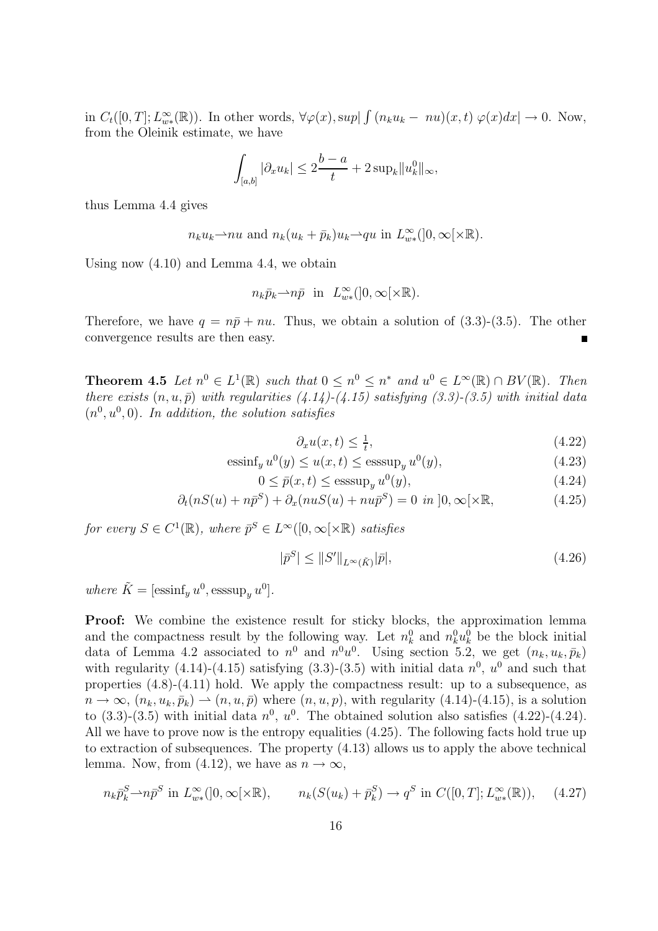in  $C_t([0,T]; L_{w*}^{\infty}(\mathbb{R}))$ . In other words,  $\forall \varphi(x), \sup \vert \int (n_k u_k - nu)(x,t) \varphi(x) dx \vert \to 0$ . Now, from the Oleinik estimate, we have

$$
\int_{[a,b]} |\partial_x u_k| \le 2\frac{b-a}{t} + 2 \sup_k \|u_k^0\|_{\infty},
$$

thus Lemma 4.4 gives

$$
n_k u_k
$$
—*nu* and  $n_k (u_k + \bar{p}_k) u_k$ —*qu* in  $L^{\infty}_{w*}([0, \infty[\times \mathbb{R})$ .

Using now (4.10) and Lemma 4.4, we obtain

$$
n_k \bar{p}_k \rightarrow n \bar{p}
$$
 in  $L_{w*}^{\infty}(]0, \infty[\times \mathbb{R}).$ 

Therefore, we have  $q = n\bar{p} + nu$ . Thus, we obtain a solution of (3.3)-(3.5). The other convergence results are then easy.

**Theorem 4.5** Let  $n^0 \in L^1(\mathbb{R})$  such that  $0 \leq n^0 \leq n^*$  and  $u^0 \in L^{\infty}(\mathbb{R}) \cap BV(\mathbb{R})$ . Then there exists  $(n, u, \bar{p})$  with regularities  $(4.14)-(4.15)$  satisfying  $(3.3)-(3.5)$  with initial data  $(n^0, u^0, 0)$ . In addition, the solution satisfies

$$
\partial_x u(x,t) \le \frac{1}{t},\tag{4.22}
$$

$$
\mathrm{essinf}_{y} u^{0}(y) \le u(x,t) \le \mathrm{esssup}_{y} u^{0}(y),\tag{4.23}
$$

$$
0 \le \bar{p}(x, t) \le \operatorname{esssup}_{y} u^{0}(y), \tag{4.24}
$$

$$
\partial_t (nS(u) + n\bar{p}^S) + \partial_x (nuS(u) + nu\bar{p}^S) = 0 \text{ in } ]0, \infty[\times \mathbb{R}, \quad (4.25)
$$

for every  $S \in C^1(\mathbb{R})$ , where  $\bar{p}^S \in L^{\infty}([0,\infty[\times \mathbb{R})$  satisfies

$$
|\bar{p}^S| \le ||S'||_{L^{\infty}(\tilde{K})}|\bar{p}|,\tag{4.26}
$$

where  $\tilde{K} = [\text{essinf}_y u^0, \text{esssup}_y u^0].$ 

**Proof:** We combine the existence result for sticky blocks, the approximation lemma and the compactness result by the following way. Let  $n_k^0$  and  $n_k^0 u_k^0$  be the block initial data of Lemma 4.2 associated to  $n^0$  and  $n^0u^0$ . Using section 5.2, we get  $(n_k, u_k, \bar{p}_k)$ with regularity (4.14)-(4.15) satisfying (3.3)-(3.5) with initial data  $n^0$ ,  $u^0$  and such that properties (4.8)-(4.11) hold. We apply the compactness result: up to a subsequence, as  $n \to \infty$ ,  $(n_k, u_k, \bar{p}_k) \to (n, u, \bar{p})$  where  $(n, u, p)$ , with regularity (4.14)-(4.15), is a solution to  $(3.3)-(3.5)$  with initial data  $n^0$ ,  $u^0$ . The obtained solution also satisfies  $(4.22)-(4.24)$ . All we have to prove now is the entropy equalities (4.25). The following facts hold true up to extraction of subsequences. The property (4.13) allows us to apply the above technical lemma. Now, from (4.12), we have as  $n \to \infty$ ,

$$
n_k \bar{p}_k^S \longrightarrow n \bar{p}^S \text{ in } L^{\infty}_{w*}([0, \infty[\times \mathbb{R}), \qquad n_k(S(u_k) + \bar{p}_k^S) \longrightarrow q^S \text{ in } C([0, T]; L^{\infty}_{w*}(\mathbb{R})), \tag{4.27}
$$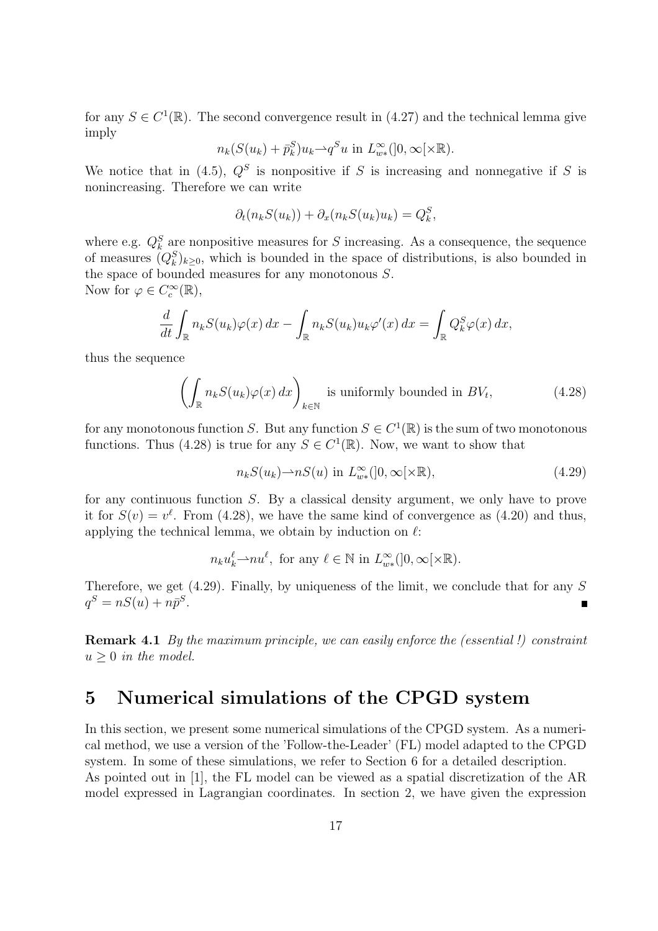for any  $S \in C^1(\mathbb{R})$ . The second convergence result in (4.27) and the technical lemma give imply

$$
n_k(S(u_k) + \bar{p}_k^S)u_k \rightarrow q^S u \text{ in } L^{\infty}_{w*}([0, \infty[\times \mathbb{R}).
$$

We notice that in (4.5),  $Q^S$  is nonpositive if S is increasing and nonnegative if S is nonincreasing. Therefore we can write

$$
\partial_t(n_k S(u_k)) + \partial_x(n_k S(u_k) u_k) = Q_k^S,
$$

where e.g.  $Q_k^S$  are nonpositive measures for S increasing. As a consequence, the sequence of measures  $(Q_k^S)_{k\geq 0}$ , which is bounded in the space of distributions, is also bounded in the space of bounded measures for any monotonous  $S$ . Now for  $\varphi \in C_c^{\infty}(\mathbb{R}),$ 

$$
\frac{d}{dt} \int_{\mathbb{R}} n_k S(u_k) \varphi(x) dx - \int_{\mathbb{R}} n_k S(u_k) u_k \varphi'(x) dx = \int_{\mathbb{R}} Q_k^S \varphi(x) dx,
$$

thus the sequence

$$
\left(\int_{\mathbb{R}} n_k S(u_k)\varphi(x) dx\right)_{k \in \mathbb{N}} \text{ is uniformly bounded in } BV_t,
$$
\n(4.28)

for any monotonous function S. But any function  $S \in C^1(\mathbb{R})$  is the sum of two monotonous functions. Thus (4.28) is true for any  $S \in C^1(\mathbb{R})$ . Now, we want to show that

$$
n_k S(u_k) \to nS(u) \text{ in } L^{\infty}_{w*}([0, \infty[\times \mathbb{R}), \tag{4.29}
$$

for any continuous function S. By a classical density argument, we only have to prove it for  $S(v) = v^{\ell}$ . From (4.28), we have the same kind of convergence as (4.20) and thus, applying the technical lemma, we obtain by induction on  $\ell$ :

$$
n_k u_k^{\ell} \rightarrow nu^{\ell}
$$
, for any  $\ell \in \mathbb{N}$  in  $L_{w*}^{\infty}(]0, \infty[\times \mathbb{R})$ .

Therefore, we get  $(4.29)$ . Finally, by uniqueness of the limit, we conclude that for any S  $q^S = nS(u) + n\bar{p}^S.$ 

Remark 4.1 By the maximum principle, we can easily enforce the (essential!) constraint  $u > 0$  in the model.

## 5 Numerical simulations of the CPGD system

In this section, we present some numerical simulations of the CPGD system. As a numerical method, we use a version of the 'Follow-the-Leader' (FL) model adapted to the CPGD system. In some of these simulations, we refer to Section 6 for a detailed description. As pointed out in [1], the FL model can be viewed as a spatial discretization of the AR model expressed in Lagrangian coordinates. In section 2, we have given the expression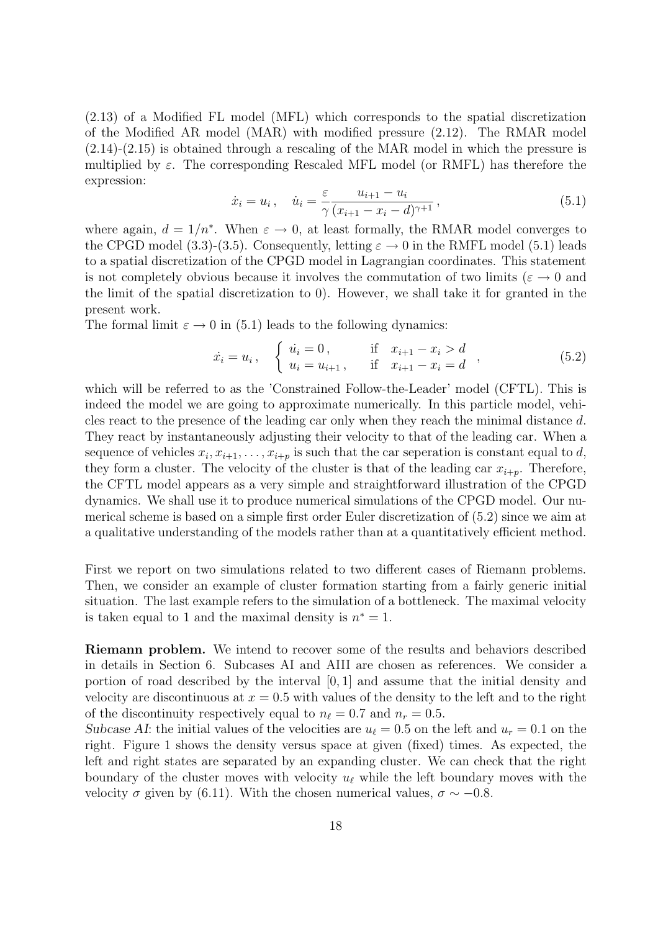(2.13) of a Modified FL model (MFL) which corresponds to the spatial discretization of the Modified AR model (MAR) with modified pressure (2.12). The RMAR model  $(2.14)-(2.15)$  is obtained through a rescaling of the MAR model in which the pressure is multiplied by  $\varepsilon$ . The corresponding Rescaled MFL model (or RMFL) has therefore the expression:

$$
\dot{x}_i = u_i, \quad \dot{u}_i = \frac{\varepsilon}{\gamma} \frac{u_{i+1} - u_i}{(x_{i+1} - x_i - d)^{\gamma+1}},
$$
\n(5.1)

where again,  $d = 1/n^*$ . When  $\varepsilon \to 0$ , at least formally, the RMAR model converges to the CPGD model (3.3)-(3.5). Consequently, letting  $\varepsilon \to 0$  in the RMFL model (5.1) leads to a spatial discretization of the CPGD model in Lagrangian coordinates. This statement is not completely obvious because it involves the commutation of two limits ( $\varepsilon \to 0$  and the limit of the spatial discretization to 0). However, we shall take it for granted in the present work.

The formal limit  $\varepsilon \to 0$  in (5.1) leads to the following dynamics:

$$
\dot{x}_i = u_i, \quad \begin{cases} \n\dot{u}_i = 0, & \text{if } x_{i+1} - x_i > d \\ \n u_i = u_{i+1}, & \text{if } x_{i+1} - x_i = d \n\end{cases}, \tag{5.2}
$$

which will be referred to as the 'Constrained Follow-the-Leader' model (CFTL). This is indeed the model we are going to approximate numerically. In this particle model, vehicles react to the presence of the leading car only when they reach the minimal distance d. They react by instantaneously adjusting their velocity to that of the leading car. When a sequence of vehicles  $x_i, x_{i+1}, \ldots, x_{i+p}$  is such that the car seperation is constant equal to d, they form a cluster. The velocity of the cluster is that of the leading car  $x_{i+p}$ . Therefore, the CFTL model appears as a very simple and straightforward illustration of the CPGD dynamics. We shall use it to produce numerical simulations of the CPGD model. Our numerical scheme is based on a simple first order Euler discretization of (5.2) since we aim at a qualitative understanding of the models rather than at a quantitatively efficient method.

First we report on two simulations related to two different cases of Riemann problems. Then, we consider an example of cluster formation starting from a fairly generic initial situation. The last example refers to the simulation of a bottleneck. The maximal velocity is taken equal to 1 and the maximal density is  $n^* = 1$ .

Riemann problem. We intend to recover some of the results and behaviors described in details in Section 6. Subcases AI and AIII are chosen as references. We consider a portion of road described by the interval  $[0, 1]$  and assume that the initial density and velocity are discontinuous at  $x = 0.5$  with values of the density to the left and to the right of the discontinuity respectively equal to  $n_{\ell} = 0.7$  and  $n_r = 0.5$ .

Subcase AI: the initial values of the velocities are  $u_{\ell} = 0.5$  on the left and  $u_r = 0.1$  on the right. Figure 1 shows the density versus space at given (fixed) times. As expected, the left and right states are separated by an expanding cluster. We can check that the right boundary of the cluster moves with velocity  $u_\ell$  while the left boundary moves with the velocity  $\sigma$  given by (6.11). With the chosen numerical values,  $\sigma \sim -0.8$ .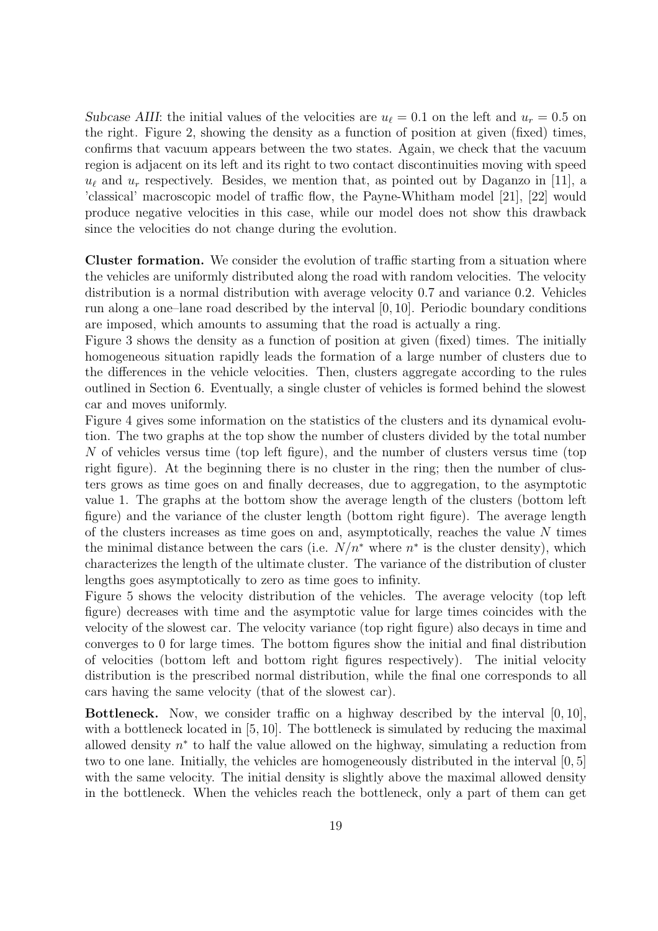Subcase AIII: the initial values of the velocities are  $u_{\ell} = 0.1$  on the left and  $u_r = 0.5$  on the right. Figure 2, showing the density as a function of position at given (fixed) times, confirms that vacuum appears between the two states. Again, we check that the vacuum region is adjacent on its left and its right to two contact discontinuities moving with speed  $u_{\ell}$  and  $u_r$  respectively. Besides, we mention that, as pointed out by Daganzo in [11], a 'classical' macroscopic model of traffic flow, the Payne-Whitham model [21], [22] would produce negative velocities in this case, while our model does not show this drawback since the velocities do not change during the evolution.

Cluster formation. We consider the evolution of traffic starting from a situation where the vehicles are uniformly distributed along the road with random velocities. The velocity distribution is a normal distribution with average velocity 0.7 and variance 0.2. Vehicles run along a one–lane road described by the interval [0, 10]. Periodic boundary conditions are imposed, which amounts to assuming that the road is actually a ring.

Figure 3 shows the density as a function of position at given (fixed) times. The initially homogeneous situation rapidly leads the formation of a large number of clusters due to the differences in the vehicle velocities. Then, clusters aggregate according to the rules outlined in Section 6. Eventually, a single cluster of vehicles is formed behind the slowest car and moves uniformly.

Figure 4 gives some information on the statistics of the clusters and its dynamical evolution. The two graphs at the top show the number of clusters divided by the total number N of vehicles versus time (top left figure), and the number of clusters versus time (top right figure). At the beginning there is no cluster in the ring; then the number of clusters grows as time goes on and finally decreases, due to aggregation, to the asymptotic value 1. The graphs at the bottom show the average length of the clusters (bottom left figure) and the variance of the cluster length (bottom right figure). The average length of the clusters increases as time goes on and, asymptotically, reaches the value  $N$  times the minimal distance between the cars (i.e.  $N/n^*$  where  $n^*$  is the cluster density), which characterizes the length of the ultimate cluster. The variance of the distribution of cluster lengths goes asymptotically to zero as time goes to infinity.

Figure 5 shows the velocity distribution of the vehicles. The average velocity (top left figure) decreases with time and the asymptotic value for large times coincides with the velocity of the slowest car. The velocity variance (top right figure) also decays in time and converges to 0 for large times. The bottom figures show the initial and final distribution of velocities (bottom left and bottom right figures respectively). The initial velocity distribution is the prescribed normal distribution, while the final one corresponds to all cars having the same velocity (that of the slowest car).

**Bottleneck.** Now, we consider traffic on a highway described by the interval  $[0, 10]$ , with a bottleneck located in [5, 10]. The bottleneck is simulated by reducing the maximal allowed density  $n^*$  to half the value allowed on the highway, simulating a reduction from two to one lane. Initially, the vehicles are homogeneously distributed in the interval [0, 5] with the same velocity. The initial density is slightly above the maximal allowed density in the bottleneck. When the vehicles reach the bottleneck, only a part of them can get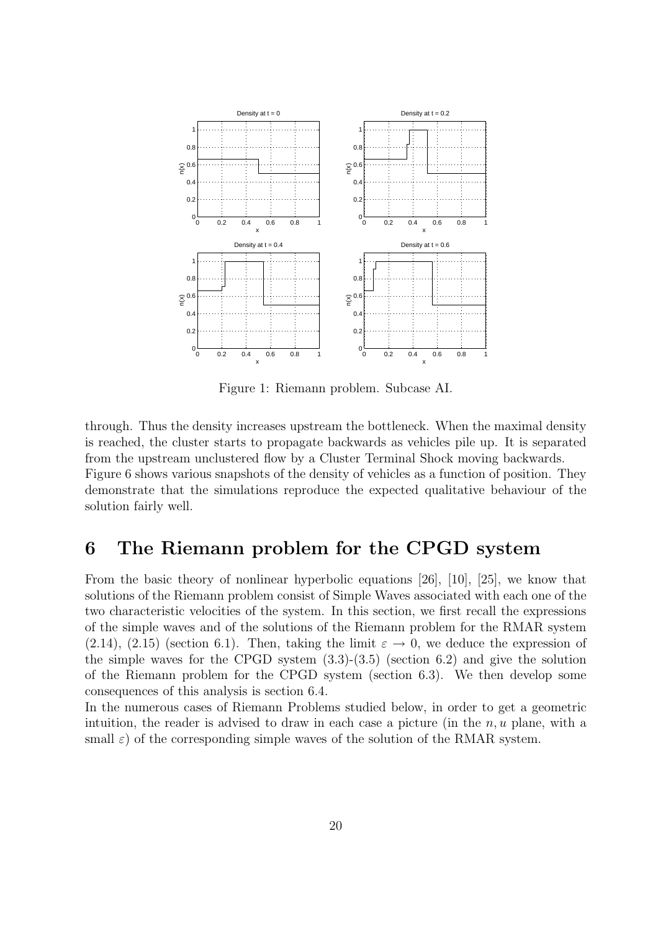

Figure 1: Riemann problem. Subcase AI.

through. Thus the density increases upstream the bottleneck. When the maximal density is reached, the cluster starts to propagate backwards as vehicles pile up. It is separated from the upstream unclustered flow by a Cluster Terminal Shock moving backwards. Figure 6 shows various snapshots of the density of vehicles as a function of position. They demonstrate that the simulations reproduce the expected qualitative behaviour of the solution fairly well.

## 6 The Riemann problem for the CPGD system

From the basic theory of nonlinear hyperbolic equations [26], [10], [25], we know that solutions of the Riemann problem consist of Simple Waves associated with each one of the two characteristic velocities of the system. In this section, we first recall the expressions of the simple waves and of the solutions of the Riemann problem for the RMAR system (2.14), (2.15) (section 6.1). Then, taking the limit  $\varepsilon \to 0$ , we deduce the expression of the simple waves for the CPGD system  $(3.3)-(3.5)$  (section 6.2) and give the solution of the Riemann problem for the CPGD system (section 6.3). We then develop some consequences of this analysis is section 6.4.

In the numerous cases of Riemann Problems studied below, in order to get a geometric intuition, the reader is advised to draw in each case a picture (in the  $n, u$  plane, with a small  $\varepsilon$ ) of the corresponding simple waves of the solution of the RMAR system.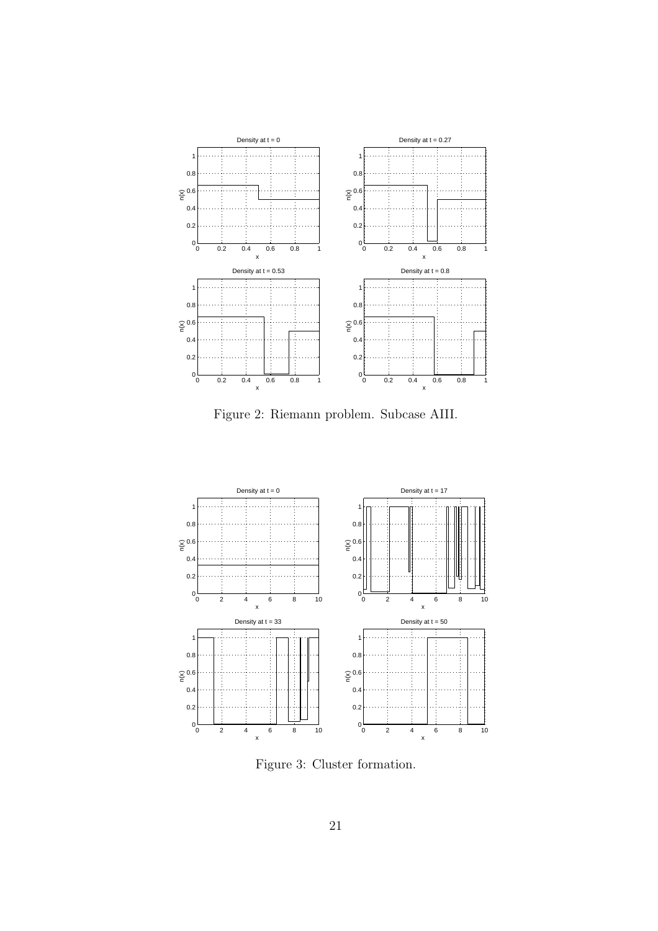

Figure 2: Riemann problem. Subcase AIII.



Figure 3: Cluster formation.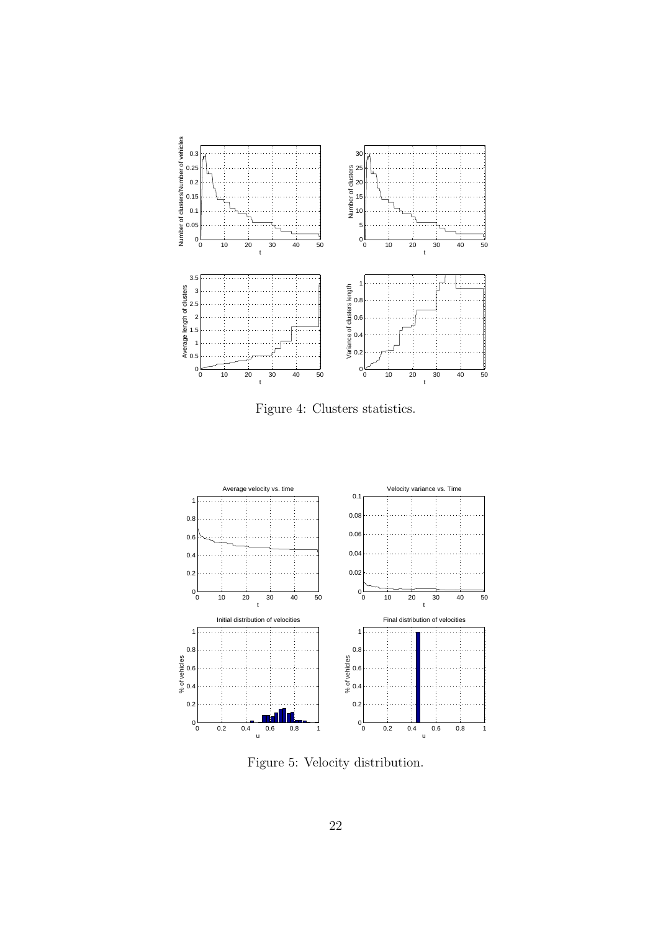

Figure 4: Clusters statistics.



Figure 5: Velocity distribution.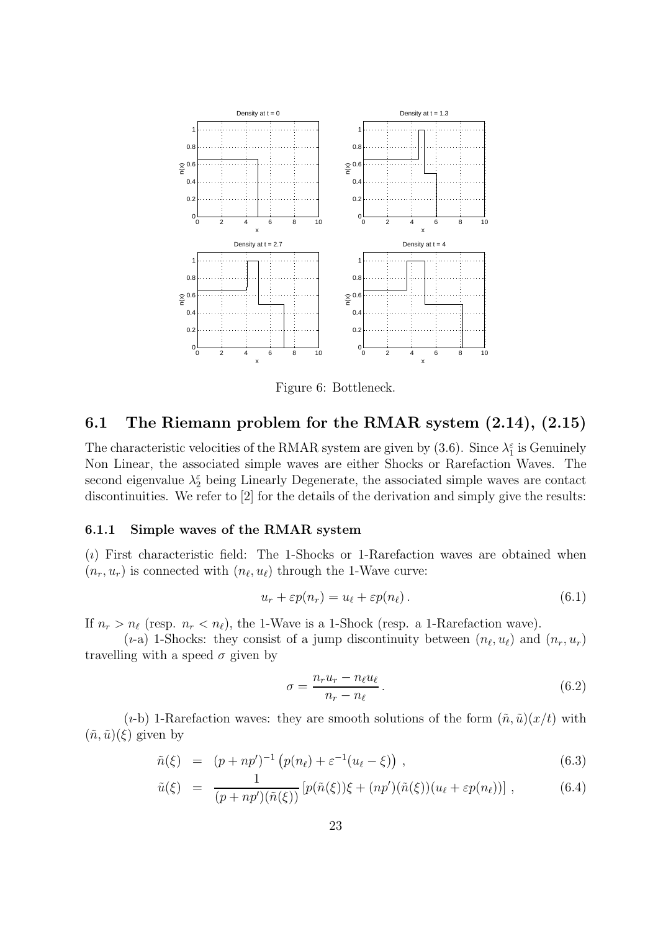

Figure 6: Bottleneck.

### 6.1 The Riemann problem for the RMAR system (2.14), (2.15)

The characteristic velocities of the RMAR system are given by (3.6). Since  $\lambda_1^{\varepsilon}$  is Genuinely Non Linear, the associated simple waves are either Shocks or Rarefaction Waves. The second eigenvalue  $\lambda_2^{\varepsilon}$  being Linearly Degenerate, the associated simple waves are contact discontinuities. We refer to [2] for the details of the derivation and simply give the results:

#### 6.1.1 Simple waves of the RMAR system

 $(i)$  First characteristic field: The 1-Shocks or 1-Rarefaction waves are obtained when  $(n_r, u_r)$  is connected with  $(n_\ell, u_\ell)$  through the 1-Wave curve:

$$
u_r + \varepsilon p(n_r) = u_\ell + \varepsilon p(n_\ell). \tag{6.1}
$$

If  $n_r > n_\ell$  (resp.  $n_r < n_\ell$ ), the 1-Wave is a 1-Shock (resp. a 1-Rarefaction wave).

(*i*-a) 1-Shocks: they consist of a jump discontinuity between  $(n_\ell, u_\ell)$  and  $(n_r, u_r)$ travelling with a speed  $\sigma$  given by

$$
\sigma = \frac{n_r u_r - n_\ell u_\ell}{n_r - n_\ell}.\tag{6.2}
$$

(*i*-b) 1-Rarefaction waves: they are smooth solutions of the form  $(\tilde{n}, \tilde{u})(x/t)$  with  $(\tilde{n}, \tilde{u})(\xi)$  given by

$$
\tilde{n}(\xi) = (p + np')^{-1} (p(n_{\ell}) + \varepsilon^{-1}(u_{\ell} - \xi)), \qquad (6.3)
$$

$$
\tilde{u}(\xi) = \frac{1}{(p+np')(\tilde{n}(\xi))} \left[ p(\tilde{n}(\xi))\xi + (np')(\tilde{n}(\xi))(u_{\ell} + \varepsilon p(n_{\ell})) \right],
$$
\n(6.4)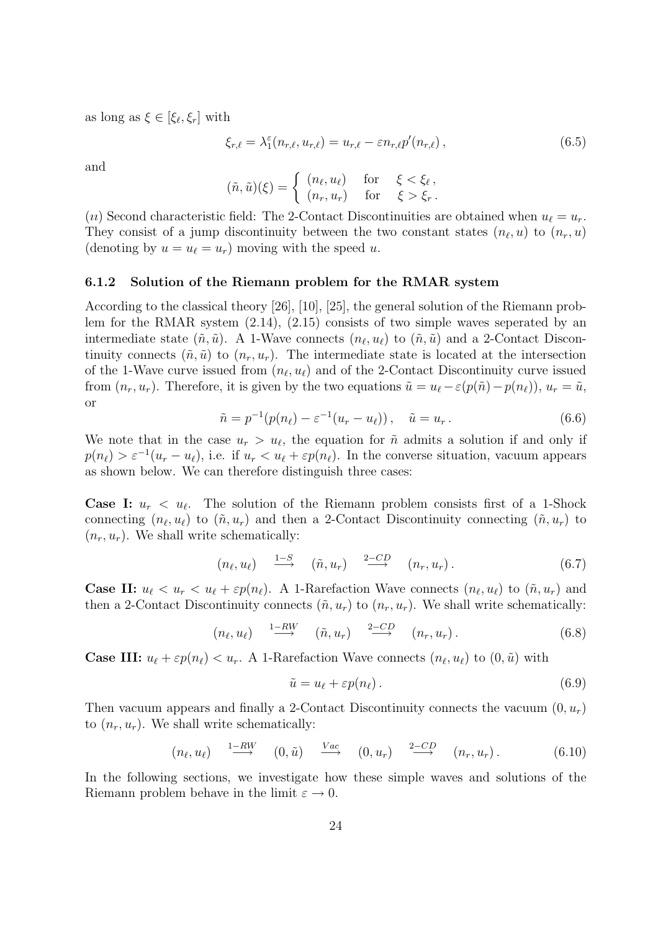as long as  $\xi \in [\xi_{\ell}, \xi_r]$  with

$$
\xi_{r,\ell} = \lambda_1^{\varepsilon} (n_{r,\ell}, u_{r,\ell}) = u_{r,\ell} - \varepsilon n_{r,\ell} p'(n_{r,\ell}), \qquad (6.5)
$$

and

$$
(\tilde{n}, \tilde{u})(\xi) = \begin{cases} (n_{\ell}, u_{\ell}) & \text{for } \xi < \xi_{\ell}, \\ (n_r, u_r) & \text{for } \xi > \xi_r. \end{cases}
$$

(u) Second characteristic field: The 2-Contact Discontinuities are obtained when  $u_{\ell} = u_r$ . They consist of a jump discontinuity between the two constant states  $(n_\ell, u)$  to  $(n_r, u)$ (denoting by  $u = u_{\ell} = u_r$ ) moving with the speed u.

#### 6.1.2 Solution of the Riemann problem for the RMAR system

According to the classical theory [26], [10], [25], the general solution of the Riemann problem for the RMAR system (2.14), (2.15) consists of two simple waves seperated by an intermediate state  $(\tilde{n}, \tilde{u})$ . A 1-Wave connects  $(n_{\ell}, u_{\ell})$  to  $(\tilde{n}, \tilde{u})$  and a 2-Contact Discontinuity connects  $(\tilde{n}, \tilde{u})$  to  $(n_r, u_r)$ . The intermediate state is located at the intersection of the 1-Wave curve issued from  $(n_\ell, u_\ell)$  and of the 2-Contact Discontinuity curve issued from  $(n_r, u_r)$ . Therefore, it is given by the two equations  $\tilde{u} = u_\ell - \varepsilon (p(\tilde{n}) - p(n_\ell))$ ,  $u_r = \tilde{u}$ , or

$$
\tilde{n} = p^{-1}(p(n_{\ell}) - \varepsilon^{-1}(u_r - u_{\ell})), \quad \tilde{u} = u_r.
$$
\n(6.6)

We note that in the case  $u_r > u_{\ell}$ , the equation for  $\tilde{n}$  admits a solution if and only if  $p(n_{\ell}) > \varepsilon^{-1}(u_r - u_{\ell}),$  i.e. if  $u_r < u_{\ell} + \varepsilon p(n_{\ell}).$  In the converse situation, vacuum appears as shown below. We can therefore distinguish three cases:

**Case I:**  $u_r < u_\ell$ . The solution of the Riemann problem consists first of a 1-Shock connecting  $(n_{\ell}, u_{\ell})$  to  $(\tilde{n}, u_r)$  and then a 2-Contact Discontinuity connecting  $(\tilde{n}, u_r)$  to  $(n_r, u_r)$ . We shall write schematically:

$$
(n_{\ell}, u_{\ell}) \quad \stackrel{1-S}{\longrightarrow} \quad (\tilde{n}, u_r) \quad \stackrel{2-CD}{\longrightarrow} \quad (n_r, u_r) \,. \tag{6.7}
$$

**Case II:**  $u_{\ell} < u_r < u_{\ell} + \varepsilon p(n_{\ell})$ . A 1-Rarefaction Wave connects  $(n_{\ell}, u_{\ell})$  to  $(\tilde{n}, u_r)$  and then a 2-Contact Discontinuity connects  $(\tilde{n}, u_r)$  to  $(n_r, u_r)$ . We shall write schematically:

$$
(n_{\ell}, u_{\ell}) \quad \stackrel{1-RW}{\longrightarrow} \quad (\tilde{n}, u_r) \quad \stackrel{2-CD}{\longrightarrow} \quad (n_r, u_r) \,. \tag{6.8}
$$

**Case III:**  $u_{\ell} + \varepsilon p(n_{\ell}) < u_r$ . A 1-Rarefaction Wave connects  $(n_{\ell}, u_{\ell})$  to  $(0, \tilde{u})$  with

$$
\tilde{u} = u_{\ell} + \varepsilon p(n_{\ell}).\tag{6.9}
$$

Then vacuum appears and finally a 2-Contact Discontinuity connects the vacuum  $(0, u_r)$ to  $(n_r, u_r)$ . We shall write schematically:

$$
(n_{\ell}, u_{\ell}) \stackrel{1-RW}{\longrightarrow} (0, \tilde{u}) \stackrel{Vac}{\longrightarrow} (0, u_{r}) \stackrel{2-CD}{\longrightarrow} (n_{r}, u_{r}). \qquad (6.10)
$$

In the following sections, we investigate how these simple waves and solutions of the Riemann problem behave in the limit  $\varepsilon \to 0$ .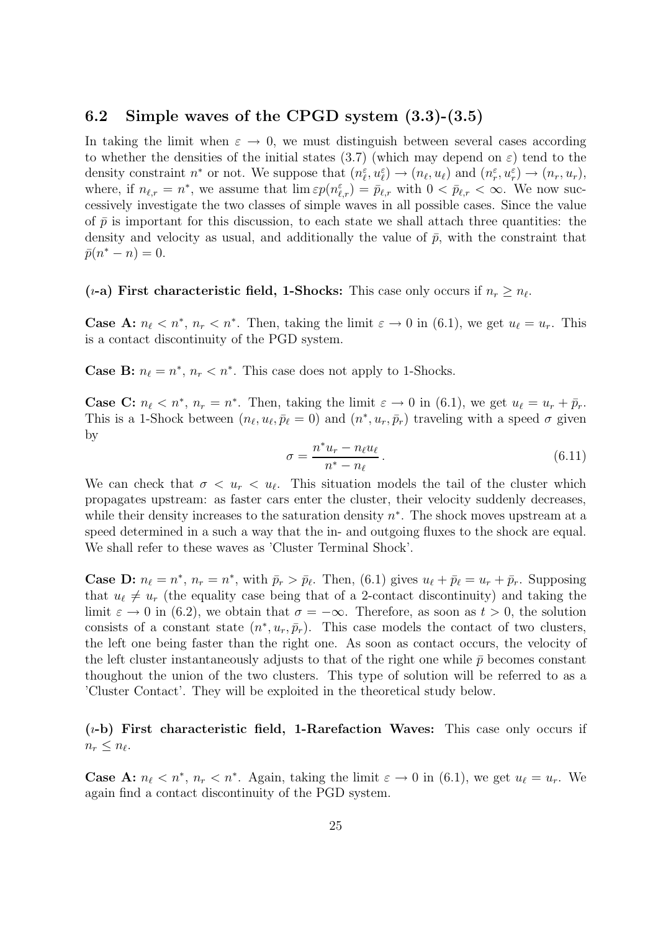### 6.2 Simple waves of the CPGD system (3.3)-(3.5)

In taking the limit when  $\varepsilon \to 0$ , we must distinguish between several cases according to whether the densities of the initial states (3.7) (which may depend on  $\varepsilon$ ) tend to the density constraint  $n^*$  or not. We suppose that  $(n_{\ell}^{\varepsilon}, u_{\ell}^{\varepsilon}) \to (n_{\ell}, u_{\ell})$  and  $(n_r^{\varepsilon}, u_r^{\varepsilon}) \to (n_r, u_r)$ , where, if  $n_{\ell,r} = n^*$ , we assume that  $\lim \varepsilon p(n_{\ell,r}^{\varepsilon}) = \bar{p}_{\ell,r}$  with  $0 < \bar{p}_{\ell,r} < \infty$ . We now successively investigate the two classes of simple waves in all possible cases. Since the value of  $\bar{p}$  is important for this discussion, to each state we shall attach three quantities: the density and velocity as usual, and additionally the value of  $\bar{p}$ , with the constraint that  $\bar{p}(n^* - n) = 0.$ 

### (*i*-a) First characteristic field, 1-Shocks: This case only occurs if  $n_r \geq n_{\ell}$ .

**Case A:**  $n_{\ell} < n^*$ ,  $n_r < n^*$ . Then, taking the limit  $\varepsilon \to 0$  in (6.1), we get  $u_{\ell} = u_r$ . This is a contact discontinuity of the PGD system.

**Case B:**  $n_{\ell} = n^*$ ,  $n_r < n^*$ . This case does not apply to 1-Shocks.

**Case C:**  $n_{\ell} < n^*$ ,  $n_r = n^*$ . Then, taking the limit  $\varepsilon \to 0$  in (6.1), we get  $u_{\ell} = u_r + \bar{p}_r$ . This is a 1-Shock between  $(n_\ell, u_\ell, \bar{p}_\ell = 0)$  and  $(n^*, u_r, \bar{p}_r)$  traveling with a speed  $\sigma$  given by

$$
\sigma = \frac{n^* u_r - n_\ell u_\ell}{n^* - n_\ell}.
$$
\n(6.11)

We can check that  $\sigma < u_r < u_\ell$ . This situation models the tail of the cluster which propagates upstream: as faster cars enter the cluster, their velocity suddenly decreases, while their density increases to the saturation density  $n^*$ . The shock moves upstream at a speed determined in a such a way that the in- and outgoing fluxes to the shock are equal. We shall refer to these waves as 'Cluster Terminal Shock'.

**Case D:**  $n_{\ell} = n^*$ ,  $n_r = n^*$ , with  $\bar{p}_r > \bar{p}_{\ell}$ . Then, (6.1) gives  $u_{\ell} + \bar{p}_{\ell} = u_r + \bar{p}_r$ . Supposing that  $u_{\ell} \neq u_r$  (the equality case being that of a 2-contact discontinuity) and taking the limit  $\varepsilon \to 0$  in (6.2), we obtain that  $\sigma = -\infty$ . Therefore, as soon as  $t > 0$ , the solution consists of a constant state  $(n^*, u_r, \bar{p}_r)$ . This case models the contact of two clusters, the left one being faster than the right one. As soon as contact occurs, the velocity of the left cluster instantaneously adjusts to that of the right one while  $\bar{p}$  becomes constant thoughout the union of the two clusters. This type of solution will be referred to as a 'Cluster Contact'. They will be exploited in the theoretical study below.

### $(i-b)$  First characteristic field, 1-Rarefaction Waves: This case only occurs if  $n_r \leq n_{\ell}$ .

**Case A:**  $n_{\ell} < n^*$ ,  $n_r < n^*$ . Again, taking the limit  $\varepsilon \to 0$  in (6.1), we get  $u_{\ell} = u_r$ . We again find a contact discontinuity of the PGD system.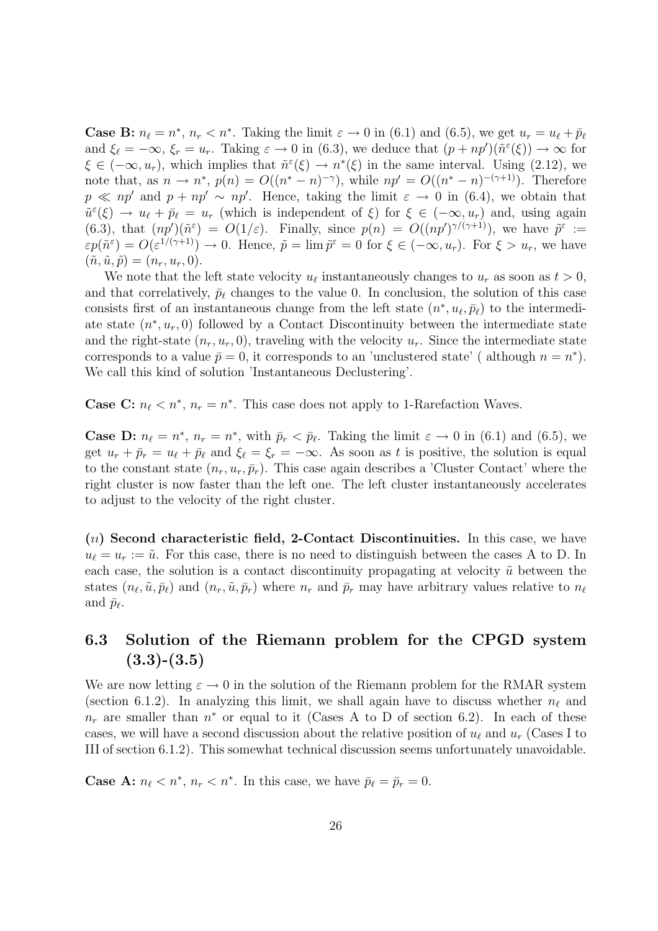**Case B:**  $n_{\ell} = n^*$ ,  $n_r < n^*$ . Taking the limit  $\varepsilon \to 0$  in (6.1) and (6.5), we get  $u_r = u_{\ell} + \bar{p}_{\ell}$ and  $\xi_{\ell} = -\infty$ ,  $\xi_r = u_r$ . Taking  $\varepsilon \to 0$  in (6.3), we deduce that  $(p + np')(\tilde{n}^{\varepsilon}(\xi)) \to \infty$  for  $\xi \in (-\infty, u_r)$ , which implies that  $\tilde{n}^{\varepsilon}(\xi) \to n^*(\xi)$  in the same interval. Using (2.12), we note that, as  $n \to n^*$ ,  $p(n) = O((n^* - n)^{-\gamma})$ , while  $np' = O((n^* - n)^{-(\gamma+1)})$ . Therefore  $p \ll np'$  and  $p + np' \sim np'$ . Hence, taking the limit  $\varepsilon \to 0$  in (6.4), we obtain that  $\tilde{u}^{\varepsilon}(\xi) \to u_{\ell} + \bar{p}_{\ell} = u_r$  (which is independent of  $\xi$ ) for  $\xi \in (-\infty, u_r)$  and, using again (6.3), that  $(np')(\tilde{n}^{\varepsilon}) = O(1/\varepsilon)$ . Finally, since  $p(n) = O((np')^{\gamma/(\gamma+1)})$ , we have  $\tilde{p}^{\varepsilon}$  :=  $\varepsilon p(\tilde{n}^{\varepsilon}) = O(\varepsilon^{1/(\gamma+1)}) \to 0$ . Hence,  $\tilde{p} = \lim \tilde{p}^{\varepsilon} = 0$  for  $\xi \in (-\infty, u_r)$ . For  $\xi > u_r$ , we have  $(\tilde{n}, \tilde{u}, \tilde{p}) = (n_r, u_r, 0).$ 

We note that the left state velocity  $u_{\ell}$  instantaneously changes to  $u_r$  as soon as  $t > 0$ , and that correlatively,  $\bar{p}_{\ell}$  changes to the value 0. In conclusion, the solution of this case consists first of an instantaneous change from the left state  $(n^*, u_\ell, \bar{p}_\ell)$  to the intermediate state  $(n^*, u_r, 0)$  followed by a Contact Discontinuity between the intermediate state and the right-state  $(n_r, u_r, 0)$ , traveling with the velocity  $u_r$ . Since the intermediate state corresponds to a value  $\bar{p} = 0$ , it corresponds to an 'unclustered state' (although  $n = n^*$ ). We call this kind of solution 'Instantaneous Declustering'.

**Case C:**  $n_{\ell} < n^*$ ,  $n_r = n^*$ . This case does not apply to 1-Rarefaction Waves.

**Case D:**  $n_{\ell} = n^*$ ,  $n_r = n^*$ , with  $\bar{p}_r < \bar{p}_{\ell}$ . Taking the limit  $\varepsilon \to 0$  in (6.1) and (6.5), we get  $u_r + \bar{p}_r = u_\ell + \bar{p}_\ell$  and  $\xi_\ell = \xi_r = -\infty$ . As soon as t is positive, the solution is equal to the constant state  $(n_r, u_r, \bar{p}_r)$ . This case again describes a 'Cluster Contact' where the right cluster is now faster than the left one. The left cluster instantaneously accelerates to adjust to the velocity of the right cluster.

 $(u)$  Second characteristic field, 2-Contact Discontinuities. In this case, we have  $u_{\ell} = u_r := \tilde{u}$ . For this case, there is no need to distinguish between the cases A to D. In each case, the solution is a contact discontinuity propagating at velocity  $\tilde{u}$  between the states  $(n_{\ell}, \tilde{u}, \bar{p}_{\ell})$  and  $(n_r, \tilde{u}, \bar{p}_r)$  where  $n_r$  and  $\bar{p}_r$  may have arbitrary values relative to  $n_{\ell}$ and  $\bar{p}_{\ell}$ .

## 6.3 Solution of the Riemann problem for the CPGD system  $(3.3)-(3.5)$

We are now letting  $\varepsilon \to 0$  in the solution of the Riemann problem for the RMAR system (section 6.1.2). In analyzing this limit, we shall again have to discuss whether  $n_\ell$  and  $n_r$  are smaller than  $n^*$  or equal to it (Cases A to D of section 6.2). In each of these cases, we will have a second discussion about the relative position of  $u_\ell$  and  $u_r$  (Cases I to III of section 6.1.2). This somewhat technical discussion seems unfortunately unavoidable.

**Case A:**  $n_{\ell} < n^*$ ,  $n_r < n^*$ . In this case, we have  $\bar{p}_{\ell} = \bar{p}_r = 0$ .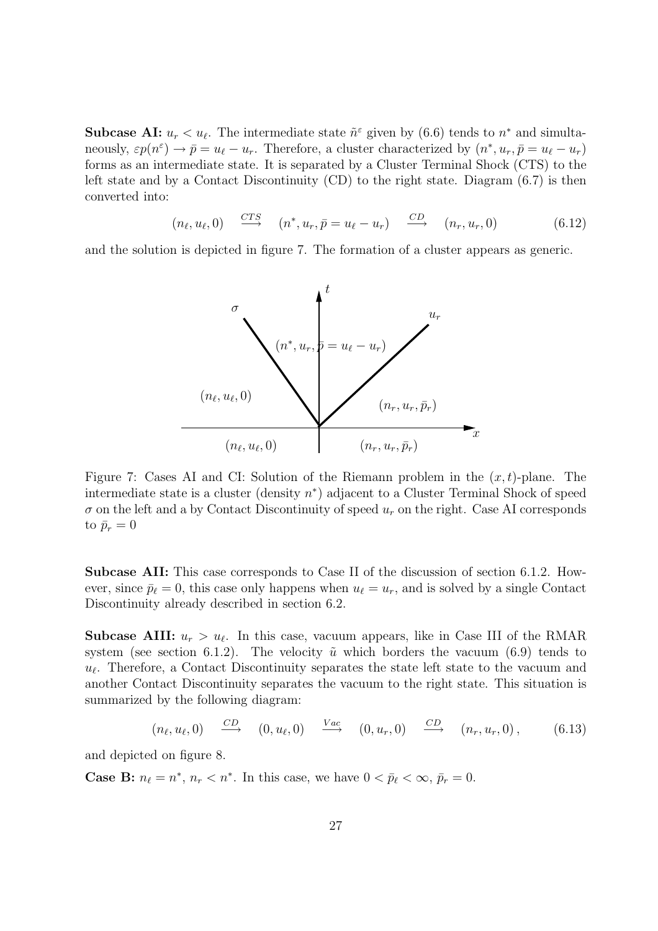**Subcase AI:**  $u_r < u_\ell$ . The intermediate state  $\tilde{n}^{\epsilon}$  given by (6.6) tends to  $n^*$  and simultaneously,  $\varepsilon p(n^{\varepsilon}) \to \bar{p} = u_{\ell} - u_r$ . Therefore, a cluster characterized by  $(n^*, u_r, \bar{p} = u_{\ell} - u_r)$ forms as an intermediate state. It is separated by a Cluster Terminal Shock (CTS) to the left state and by a Contact Discontinuity (CD) to the right state. Diagram (6.7) is then converted into:

$$
(n_{\ell}, u_{\ell}, 0) \xrightarrow{CTS} (n^*, u_r, \bar{p} = u_{\ell} - u_r) \xrightarrow{CD} (n_r, u_r, 0) \tag{6.12}
$$

and the solution is depicted in figure 7. The formation of a cluster appears as generic.



Figure 7: Cases AI and CI: Solution of the Riemann problem in the  $(x, t)$ -plane. The intermediate state is a cluster (density  $n^*$ ) adjacent to a Cluster Terminal Shock of speed  $\sigma$  on the left and a by Contact Discontinuity of speed  $u_r$  on the right. Case AI corresponds to  $\bar{p}_r = 0$ 

Subcase AII: This case corresponds to Case II of the discussion of section 6.1.2. However, since  $\bar{p}_{\ell} = 0$ , this case only happens when  $u_{\ell} = u_r$ , and is solved by a single Contact Discontinuity already described in section 6.2.

**Subcase AIII:**  $u_r > u_\ell$ . In this case, vacuum appears, like in Case III of the RMAR system (see section 6.1.2). The velocity  $\tilde{u}$  which borders the vacuum (6.9) tends to  $u_{\ell}$ . Therefore, a Contact Discontinuity separates the state left state to the vacuum and another Contact Discontinuity separates the vacuum to the right state. This situation is summarized by the following diagram:

$$
(n_{\ell}, u_{\ell}, 0) \xrightarrow{CD} (0, u_{\ell}, 0) \xrightarrow{Vac} (0, u_{r}, 0) \xrightarrow{CD} (n_{r}, u_{r}, 0), \qquad (6.13)
$$

and depicted on figure 8.

**Case B:**  $n_{\ell} = n^*$ ,  $n_r < n^*$ . In this case, we have  $0 < \bar{p}_{\ell} < \infty$ ,  $\bar{p}_r = 0$ .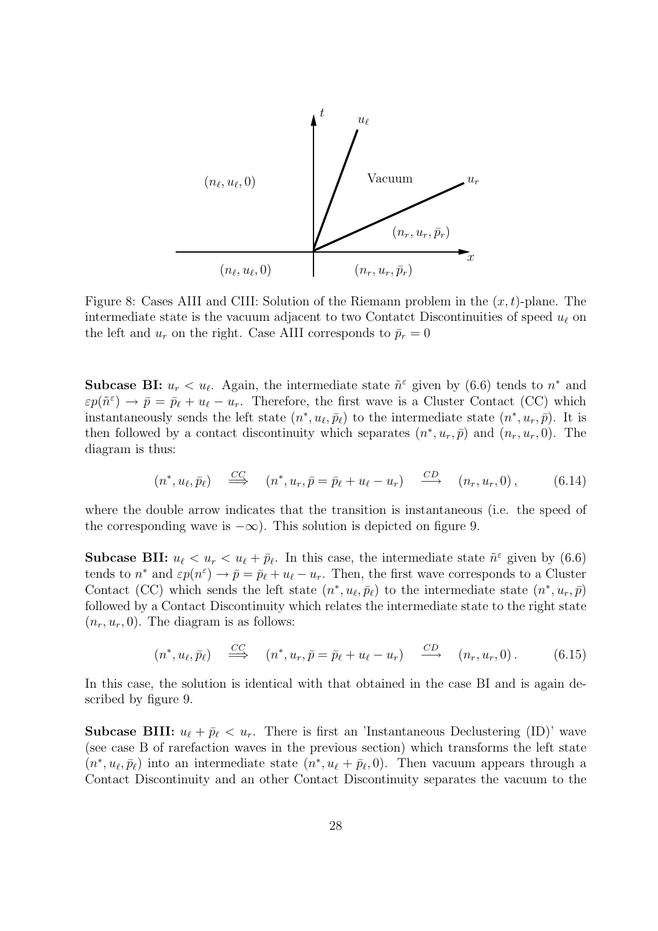

Figure 8: Cases AIII and CIII: Solution of the Riemann problem in the  $(x, t)$ -plane. The intermediate state is the vacuum adjacent to two Contatet Discontinuities of speed  $u_{\ell}$  on the left and  $u_r$  on the right. Case AIII corresponds to  $\bar{p}_r = 0$ 

**Subcase BI:**  $u_r < u_\ell$ . Again, the intermediate state  $\tilde{n}^\varepsilon$  given by (6.6) tends to  $n^*$  and  $\varepsilon p(\tilde{n}^{\varepsilon}) \to \bar{p} = \bar{p}_{\ell} + u_{\ell} - u_{r}$ . Therefore, the first wave is a Cluster Contact (CC) which instantaneously sends the left state  $(n^*, u_\ell, \bar{p}_\ell)$  to the intermediate state  $(n^*, u_r, \bar{p})$ . It is then followed by a contact discontinuity which separates  $(n^*, u_r, \bar{p})$  and  $(n_r, u_r, 0)$ . The diagram is thus:

$$
(n^*, u_\ell, \bar{p}_\ell) \quad \stackrel{CC}{\Longrightarrow} \quad (n^*, u_r, \bar{p} = \bar{p}_\ell + u_\ell - u_r) \quad \stackrel{CD}{\longrightarrow} \quad (n_r, u_r, 0), \tag{6.14}
$$

where the double arrow indicates that the transition is instantaneous (i.e. the speed of the corresponding wave is  $-\infty$ ). This solution is depicted on figure 9.

**Subcase BII:**  $u_{\ell} < u_r < u_{\ell} + \bar{p}_{\ell}$ . In this case, the intermediate state  $\tilde{n}^{\varepsilon}$  given by (6.6) tends to  $n^*$  and  $\varepsilon p(n^{\varepsilon}) \to \bar{p} = \bar{p}_{\ell} + u_{\ell} - u_r$ . Then, the first wave corresponds to a Cluster Contact (CC) which sends the left state  $(n^*, u_\ell, \bar{p}_\ell)$  to the intermediate state  $(n^*, u_r, \bar{p})$ followed by a Contact Discontinuity which relates the intermediate state to the right state  $(n_r, u_r, 0)$ . The diagram is as follows:

$$
(n^*, u_\ell, \bar{p}_\ell) \quad \stackrel{CC}{\Longrightarrow} \quad (n^*, u_r, \bar{p} = \bar{p}_\ell + u_\ell - u_r) \quad \stackrel{CD}{\longrightarrow} \quad (n_r, u_r, 0). \tag{6.15}
$$

In this case, the solution is identical with that obtained in the case BI and is again described by figure 9.

**Subcase BIII:**  $u_{\ell} + \bar{p}_{\ell} < u_r$ . There is first an 'Instantaneous Declustering (ID)' wave (see case B of rarefaction waves in the previous section) which transforms the left state  $(n^*, u_\ell, \bar{p}_\ell)$  into an intermediate state  $(n^*, u_\ell + \bar{p}_\ell, 0)$ . Then vacuum appears through a Contact Discontinuity and an other Contact Discontinuity separates the vacuum to the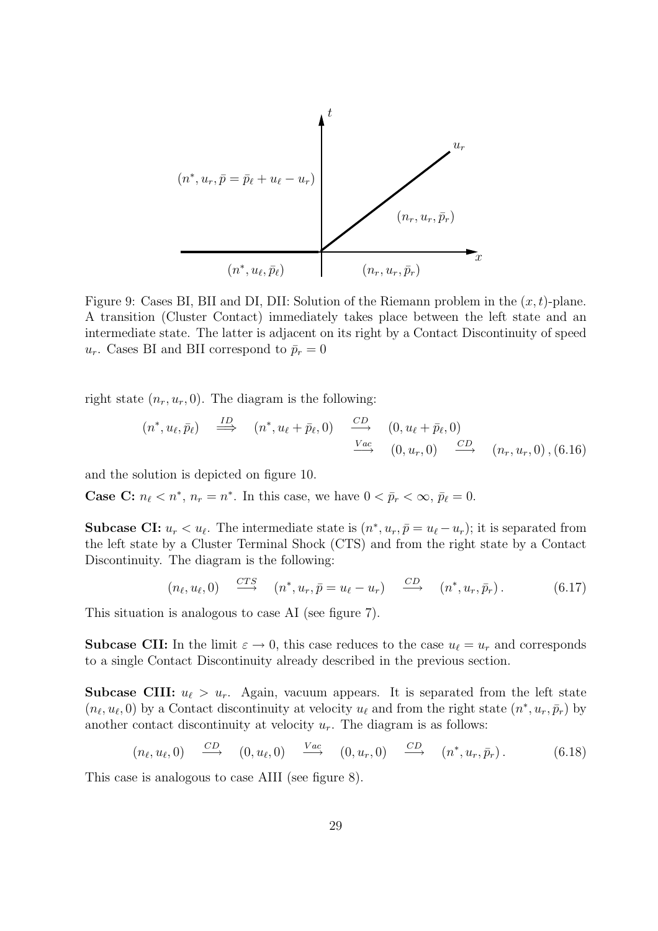

Figure 9: Cases BI, BII and DI, DII: Solution of the Riemann problem in the  $(x, t)$ -plane. A transition (Cluster Contact) immediately takes place between the left state and an intermediate state. The latter is adjacent on its right by a Contact Discontinuity of speed  $u_r$ . Cases BI and BII correspond to  $\bar{p}_r = 0$ 

right state  $(n_r, u_r, 0)$ . The diagram is the following:

$$
(n^*, u_\ell, \bar{p}_\ell) \stackrel{ID}{\Longrightarrow} (n^*, u_\ell + \bar{p}_\ell, 0) \stackrel{CD}{\Longrightarrow} (0, u_\ell + \bar{p}_\ell, 0)
$$
  

$$
\xrightarrow{Vac} (0, u_r, 0) \stackrel{CD}{\Longrightarrow} (n_r, u_r, 0), (6.16)
$$

and the solution is depicted on figure 10.

**Case C:**  $n_{\ell} < n^*$ ,  $n_r = n^*$ . In this case, we have  $0 < \bar{p}_r < \infty$ ,  $\bar{p}_{\ell} = 0$ .

**Subcase CI:**  $u_r < u_\ell$ . The intermediate state is  $(n^*, u_r, \bar{p} = u_\ell - u_r)$ ; it is separated from the left state by a Cluster Terminal Shock (CTS) and from the right state by a Contact Discontinuity. The diagram is the following:

$$
(n_{\ell}, u_{\ell}, 0) \stackrel{CTS}{\longrightarrow} (n^*, u_r, \bar{p} = u_{\ell} - u_r) \stackrel{CD}{\longrightarrow} (n^*, u_r, \bar{p}_r).
$$
 (6.17)

This situation is analogous to case AI (see figure 7).

**Subcase CII:** In the limit  $\varepsilon \to 0$ , this case reduces to the case  $u_{\ell} = u_r$  and corresponds to a single Contact Discontinuity already described in the previous section.

**Subcase CIII:**  $u_{\ell} > u_r$ . Again, vacuum appears. It is separated from the left state  $(n_\ell, u_\ell, 0)$  by a Contact discontinuity at velocity  $u_\ell$  and from the right state  $(n^*, u_r, \bar{p}_r)$  by another contact discontinuity at velocity  $u_r$ . The diagram is as follows:

$$
(n_{\ell}, u_{\ell}, 0) \xrightarrow{CD} (0, u_{\ell}, 0) \xrightarrow{Vac} (0, u_{r}, 0) \xrightarrow{CD} (n^*, u_{r}, \bar{p}_r). \qquad (6.18)
$$

This case is analogous to case AIII (see figure 8).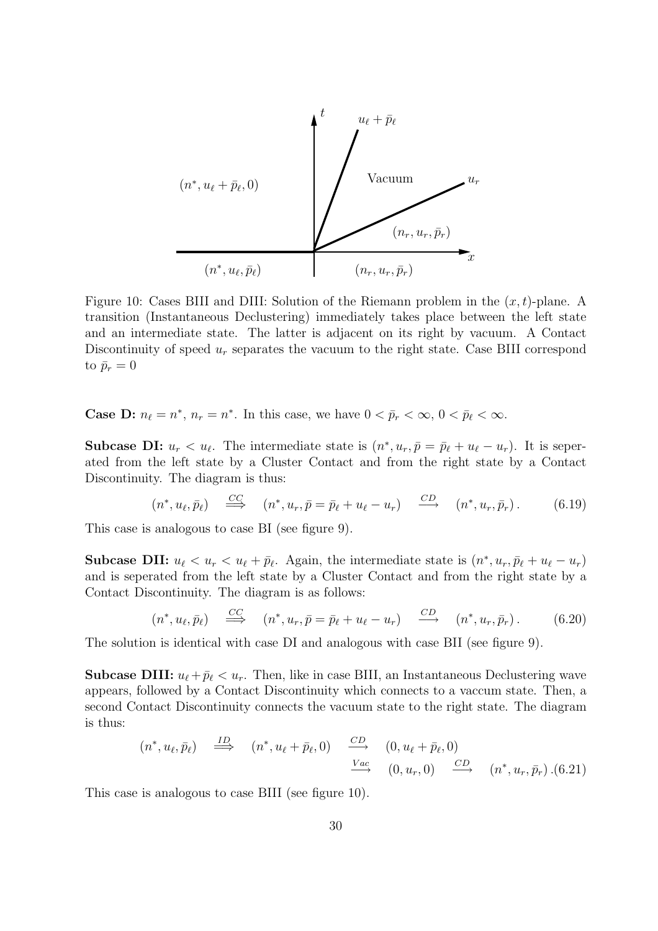

Figure 10: Cases BIII and DIII: Solution of the Riemann problem in the  $(x, t)$ -plane. A transition (Instantaneous Declustering) immediately takes place between the left state and an intermediate state. The latter is adjacent on its right by vacuum. A Contact Discontinuity of speed  $u_r$  separates the vacuum to the right state. Case BIII correspond to  $\bar{p}_r = 0$ 

**Case D:**  $n_{\ell} = n^*$ ,  $n_r = n^*$ . In this case, we have  $0 < \bar{p}_r < \infty$ ,  $0 < \bar{p}_{\ell} < \infty$ .

**Subcase DI:**  $u_r < u_\ell$ . The intermediate state is  $(n^*, u_r, \bar{p} = \bar{p}_\ell + u_\ell - u_r)$ . It is seperated from the left state by a Cluster Contact and from the right state by a Contact Discontinuity. The diagram is thus:

$$
(n^*, u_\ell, \bar{p}_\ell) \quad \stackrel{CC}{\Longrightarrow} \quad (n^*, u_r, \bar{p} = \bar{p}_\ell + u_\ell - u_r) \quad \stackrel{CD}{\longrightarrow} \quad (n^*, u_r, \bar{p}_r). \tag{6.19}
$$

This case is analogous to case BI (see figure 9).

**Subcase DII:**  $u_{\ell} < u_r < u_{\ell} + \bar{p}_{\ell}$ . Again, the intermediate state is  $(n^*, u_r, \bar{p}_{\ell} + u_{\ell} - u_r)$ and is seperated from the left state by a Cluster Contact and from the right state by a Contact Discontinuity. The diagram is as follows:

$$
(n^*, u_\ell, \bar{p}_\ell) \quad \stackrel{CC}{\Longrightarrow} \quad (n^*, u_r, \bar{p} = \bar{p}_\ell + u_\ell - u_r) \quad \stackrel{CD}{\longrightarrow} \quad (n^*, u_r, \bar{p}_r). \tag{6.20}
$$

The solution is identical with case DI and analogous with case BII (see figure 9).

**Subcase DIII:**  $u_{\ell} + \bar{p}_{\ell} < u_r$ . Then, like in case BIII, an Instantaneous Declustering wave appears, followed by a Contact Discontinuity which connects to a vaccum state. Then, a second Contact Discontinuity connects the vacuum state to the right state. The diagram is thus:

$$
(n^*, u_\ell, \bar{p}_\ell) \stackrel{ID}{\implies} (n^*, u_\ell + \bar{p}_\ell, 0) \stackrel{CD}{\longrightarrow} (0, u_\ell + \bar{p}_\ell, 0)
$$
  

$$
\stackrel{Vac}{\longrightarrow} (0, u_r, 0) \stackrel{CD}{\longrightarrow} (n^*, u_r, \bar{p}_r) . (6.21)
$$

This case is analogous to case BIII (see figure 10).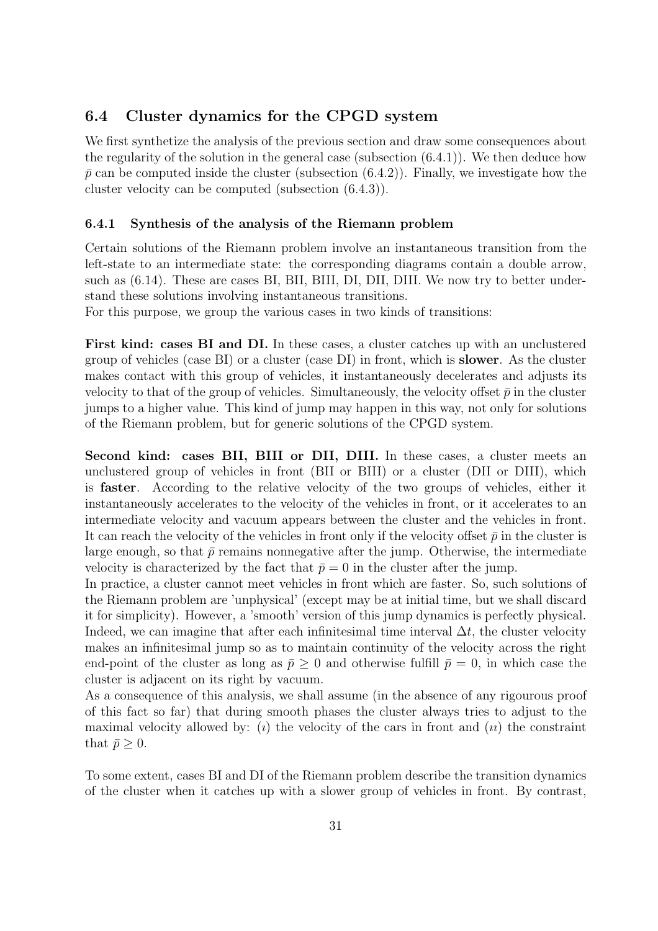### 6.4 Cluster dynamics for the CPGD system

We first synthetize the analysis of the previous section and draw some consequences about the regularity of the solution in the general case (subsection (6.4.1)). We then deduce how  $\bar{p}$  can be computed inside the cluster (subsection (6.4.2)). Finally, we investigate how the cluster velocity can be computed (subsection (6.4.3)).

#### 6.4.1 Synthesis of the analysis of the Riemann problem

Certain solutions of the Riemann problem involve an instantaneous transition from the left-state to an intermediate state: the corresponding diagrams contain a double arrow, such as (6.14). These are cases BI, BII, BIII, DI, DII, DIII. We now try to better understand these solutions involving instantaneous transitions.

For this purpose, we group the various cases in two kinds of transitions:

First kind: cases BI and DI. In these cases, a cluster catches up with an unclustered group of vehicles (case BI) or a cluster (case DI) in front, which is slower. As the cluster makes contact with this group of vehicles, it instantaneously decelerates and adjusts its velocity to that of the group of vehicles. Simultaneously, the velocity offset  $\bar{p}$  in the cluster jumps to a higher value. This kind of jump may happen in this way, not only for solutions of the Riemann problem, but for generic solutions of the CPGD system.

Second kind: cases BII, BIII or DII, DIII. In these cases, a cluster meets an unclustered group of vehicles in front (BII or BIII) or a cluster (DII or DIII), which is faster. According to the relative velocity of the two groups of vehicles, either it instantaneously accelerates to the velocity of the vehicles in front, or it accelerates to an intermediate velocity and vacuum appears between the cluster and the vehicles in front. It can reach the velocity of the vehicles in front only if the velocity offset  $\bar{p}$  in the cluster is large enough, so that  $\bar{p}$  remains nonnegative after the jump. Otherwise, the intermediate velocity is characterized by the fact that  $\bar{p} = 0$  in the cluster after the jump.

In practice, a cluster cannot meet vehicles in front which are faster. So, such solutions of the Riemann problem are 'unphysical' (except may be at initial time, but we shall discard it for simplicity). However, a 'smooth' version of this jump dynamics is perfectly physical. Indeed, we can imagine that after each infinitesimal time interval  $\Delta t$ , the cluster velocity makes an infinitesimal jump so as to maintain continuity of the velocity across the right end-point of the cluster as long as  $\bar{p} \geq 0$  and otherwise fulfill  $\bar{p} = 0$ , in which case the cluster is adjacent on its right by vacuum.

As a consequence of this analysis, we shall assume (in the absence of any rigourous proof of this fact so far) that during smooth phases the cluster always tries to adjust to the maximal velocity allowed by: (*i*) the velocity of the cars in front and (*ii*) the constraint that  $\bar{p} > 0$ .

To some extent, cases BI and DI of the Riemann problem describe the transition dynamics of the cluster when it catches up with a slower group of vehicles in front. By contrast,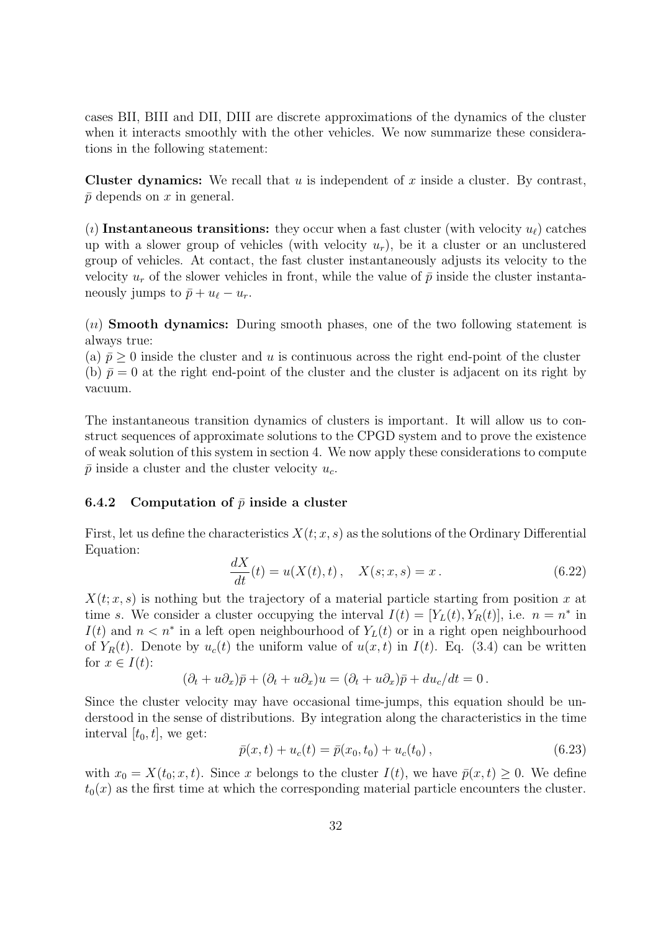cases BII, BIII and DII, DIII are discrete approximations of the dynamics of the cluster when it interacts smoothly with the other vehicles. We now summarize these considerations in the following statement:

**Cluster dynamics:** We recall that  $u$  is independent of  $x$  inside a cluster. By contrast,  $\bar{p}$  depends on x in general.

(*i*) Instantaneous transitions: they occur when a fast cluster (with velocity  $u_{\ell}$ ) catches up with a slower group of vehicles (with velocity  $u_r$ ), be it a cluster or an unclustered group of vehicles. At contact, the fast cluster instantaneously adjusts its velocity to the velocity  $u_r$  of the slower vehicles in front, while the value of  $\bar{p}$  inside the cluster instantaneously jumps to  $\bar{p} + u_{\ell} - u_r$ .

 $(u)$  Smooth dynamics: During smooth phases, one of the two following statement is always true:

(a)  $\bar{p} > 0$  inside the cluster and u is continuous across the right end-point of the cluster (b)  $\bar{p} = 0$  at the right end-point of the cluster and the cluster is adjacent on its right by vacuum.

The instantaneous transition dynamics of clusters is important. It will allow us to construct sequences of approximate solutions to the CPGD system and to prove the existence of weak solution of this system in section 4. We now apply these considerations to compute  $\bar{p}$  inside a cluster and the cluster velocity  $u_c$ .

#### 6.4.2 Computation of  $\bar{p}$  inside a cluster

First, let us define the characteristics  $X(t; x, s)$  as the solutions of the Ordinary Differential Equation:

$$
\frac{dX}{dt}(t) = u(X(t),t), \quad X(s;x,s) = x.
$$
\n(6.22)

 $X(t; x, s)$  is nothing but the trajectory of a material particle starting from position x at time s. We consider a cluster occupying the interval  $I(t) = [Y_L(t), Y_R(t)]$ , i.e.  $n = n^*$  in  $I(t)$  and  $n \leq n^*$  in a left open neighbourhood of  $Y_L(t)$  or in a right open neighbourhood of  $Y_R(t)$ . Denote by  $u_c(t)$  the uniform value of  $u(x, t)$  in  $I(t)$ . Eq. (3.4) can be written for  $x \in I(t)$ :

$$
(\partial_t + u \partial_x)\bar{p} + (\partial_t + u \partial_x)u = (\partial_t + u \partial_x)\bar{p} + du_c/dt = 0.
$$

Since the cluster velocity may have occasional time-jumps, this equation should be understood in the sense of distributions. By integration along the characteristics in the time interval  $[t_0, t]$ , we get:

$$
\bar{p}(x,t) + u_c(t) = \bar{p}(x_0, t_0) + u_c(t_0), \qquad (6.23)
$$

with  $x_0 = X(t_0; x, t)$ . Since x belongs to the cluster  $I(t)$ , we have  $\bar{p}(x, t) \geq 0$ . We define  $t_0(x)$  as the first time at which the corresponding material particle encounters the cluster.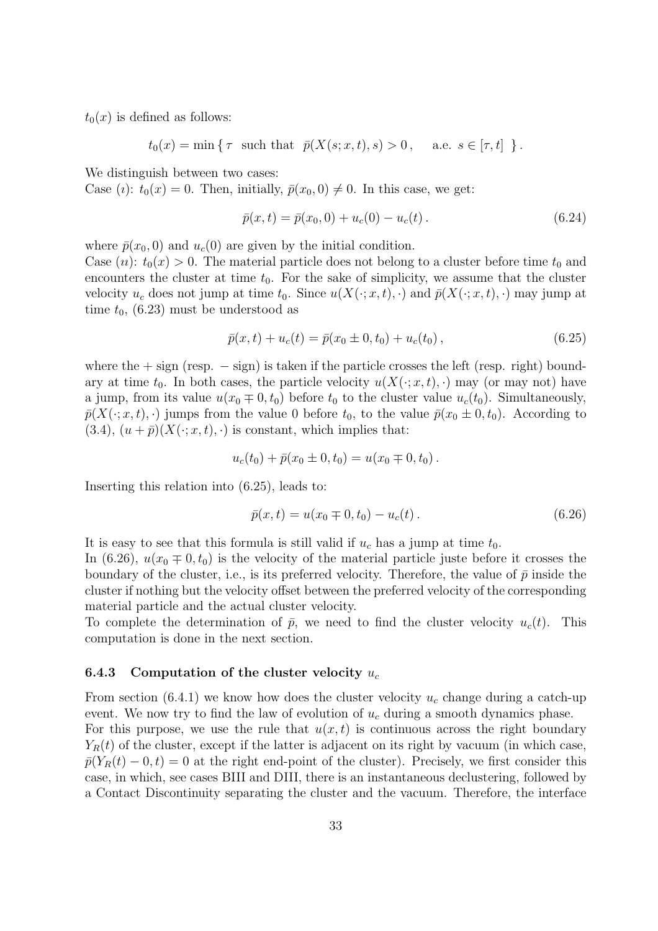$t_0(x)$  is defined as follows:

 $t_0(x) = \min \{ \tau \text{ such that } \bar{p}(X(s; x, t), s) > 0, \text{ a.e. } s \in [\tau, t] \}.$ 

We distinguish between two cases:

Case (*i*):  $t_0(x) = 0$ . Then, initially,  $\bar{p}(x_0, 0) \neq 0$ . In this case, we get:

$$
\bar{p}(x,t) = \bar{p}(x_0,0) + u_c(0) - u_c(t).
$$
\n(6.24)

where  $\bar{p}(x_0, 0)$  and  $u_c(0)$  are given by the initial condition. Case  $(u)$ :  $t_0(x) > 0$ . The material particle does not belong to a cluster before time  $t_0$  and encounters the cluster at time  $t_0$ . For the sake of simplicity, we assume that the cluster velocity  $u_c$  does not jump at time  $t_0$ . Since  $u(X(\cdot; x, t), \cdot)$  and  $\bar{p}(X(\cdot; x, t), \cdot)$  may jump at time  $t_0$ , (6.23) must be understood as

$$
\bar{p}(x,t) + u_c(t) = \bar{p}(x_0 \pm 0, t_0) + u_c(t_0), \qquad (6.25)
$$

where the  $+$  sign (resp.  $-$  sign) is taken if the particle crosses the left (resp. right) boundary at time  $t_0$ . In both cases, the particle velocity  $u(X(:, x, t), \cdot)$  may (or may not) have a jump, from its value  $u(x_0 \mp 0, t_0)$  before  $t_0$  to the cluster value  $u_c(t_0)$ . Simultaneously,  $\bar{p}(X(\cdot; x, t), \cdot)$  jumps from the value 0 before  $t_0$ , to the value  $\bar{p}(x_0 \pm 0, t_0)$ . According to  $(3.4), (u + \bar{p})(X(\cdot; x, t), \cdot)$  is constant, which implies that:

$$
u_c(t_0) + \bar{p}(x_0 \pm 0, t_0) = u(x_0 \mp 0, t_0).
$$

Inserting this relation into (6.25), leads to:

$$
\bar{p}(x,t) = u(x_0 \mp 0, t_0) - u_c(t).
$$
\n(6.26)

It is easy to see that this formula is still valid if  $u_c$  has a jump at time  $t_0$ .

In (6.26),  $u(x_0 \mp 0, t_0)$  is the velocity of the material particle juste before it crosses the boundary of the cluster, i.e., is its preferred velocity. Therefore, the value of  $\bar{p}$  inside the cluster if nothing but the velocity offset between the preferred velocity of the corresponding material particle and the actual cluster velocity.

To complete the determination of  $\bar{p}$ , we need to find the cluster velocity  $u_c(t)$ . This computation is done in the next section.

#### 6.4.3 Computation of the cluster velocity  $u_c$

From section (6.4.1) we know how does the cluster velocity  $u_c$  change during a catch-up event. We now try to find the law of evolution of  $u_c$  during a smooth dynamics phase. For this purpose, we use the rule that  $u(x, t)$  is continuous across the right boundary  $Y_R(t)$  of the cluster, except if the latter is adjacent on its right by vacuum (in which case,  $\bar{p}(Y_R(t) - 0, t) = 0$  at the right end-point of the cluster). Precisely, we first consider this case, in which, see cases BIII and DIII, there is an instantaneous declustering, followed by a Contact Discontinuity separating the cluster and the vacuum. Therefore, the interface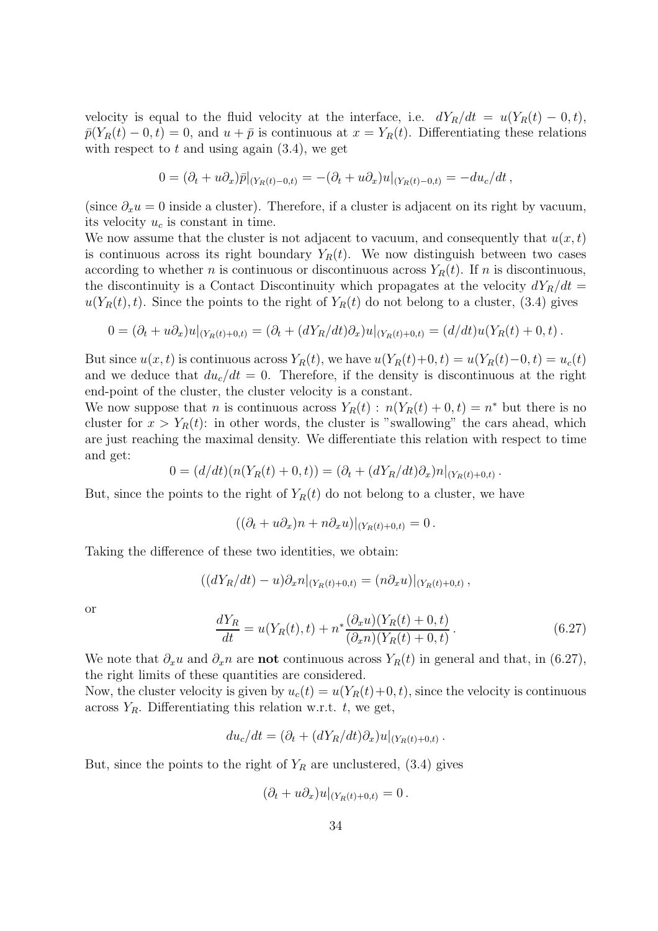velocity is equal to the fluid velocity at the interface, i.e.  $dY_R/dt = u(Y_R(t) - 0, t)$ ,  $\bar{p}(Y_R(t) - 0, t) = 0$ , and  $u + \bar{p}$  is continuous at  $x = Y_R(t)$ . Differentiating these relations with respect to  $t$  and using again  $(3.4)$ , we get

$$
0 = (\partial_t + u\partial_x)\overline{p}|_{(Y_R(t)-0,t)} = -(\partial_t + u\partial_x)u|_{(Y_R(t)-0,t)} = -du_c/dt,
$$

(since  $\partial_x u = 0$  inside a cluster). Therefore, if a cluster is adjacent on its right by vacuum, its velocity  $u_c$  is constant in time.

We now assume that the cluster is not adjacent to vacuum, and consequently that  $u(x, t)$ is continuous across its right boundary  $Y_R(t)$ . We now distinguish between two cases according to whether n is continuous or discontinuous across  $Y_R(t)$ . If n is discontinuous, the discontinuity is a Contact Discontinuity which propagates at the velocity  $dY_R/dt =$  $u(Y_R(t), t)$ . Since the points to the right of  $Y_R(t)$  do not belong to a cluster, (3.4) gives

$$
0 = (\partial_t + u \partial_x)u|_{(Y_R(t) + 0,t)} = (\partial_t + (dY_R/dt)\partial_x)u|_{(Y_R(t) + 0,t)} = (d/dt)u(Y_R(t) + 0,t).
$$

But since  $u(x, t)$  is continuous across  $Y_R(t)$ , we have  $u(Y_R(t)+0, t) = u(Y_R(t)-0, t) = u_c(t)$ and we deduce that  $du_c/dt = 0$ . Therefore, if the density is discontinuous at the right end-point of the cluster, the cluster velocity is a constant.

We now suppose that *n* is continuous across  $Y_R(t)$ :  $n(Y_R(t) + 0, t) = n^*$  but there is no cluster for  $x > Y_R(t)$ : in other words, the cluster is "swallowing" the cars ahead, which are just reaching the maximal density. We differentiate this relation with respect to time and get:

$$
0 = (d/dt)(n(Y_R(t) + 0, t)) = (\partial_t + (dY_R/dt)\partial_x)n|_{(Y_R(t) + 0, t)}
$$

But, since the points to the right of  $Y_R(t)$  do not belong to a cluster, we have

$$
((\partial_t + u\partial_x)n + n\partial_x u)|_{(Y_R(t)+0,t)} = 0.
$$

Taking the difference of these two identities, we obtain:

$$
((dY_R/dt) - u)\partial_x n|_{(Y_R(t) + 0,t)} = (n\partial_x u)|_{(Y_R(t) + 0,t)},
$$

or

$$
\frac{dY_R}{dt} = u(Y_R(t), t) + n^* \frac{(\partial_x u)(Y_R(t) + 0, t)}{(\partial_x n)(Y_R(t) + 0, t)}.
$$
\n(6.27)

.

We note that  $\partial_x u$  and  $\partial_x n$  are **not** continuous across  $Y_R(t)$  in general and that, in (6.27), the right limits of these quantities are considered.

Now, the cluster velocity is given by  $u_c(t) = u(Y_R(t)+0, t)$ , since the velocity is continuous across  $Y_R$ . Differentiating this relation w.r.t. t, we get,

$$
du_c/dt = (\partial_t + (dY_R/dt)\partial_x)u|_{(Y_R(t)+0,t)}.
$$

But, since the points to the right of  $Y_R$  are unclustered, (3.4) gives

$$
(\partial_t + u \partial_x)u|_{(Y_R(t)+0,t)} = 0.
$$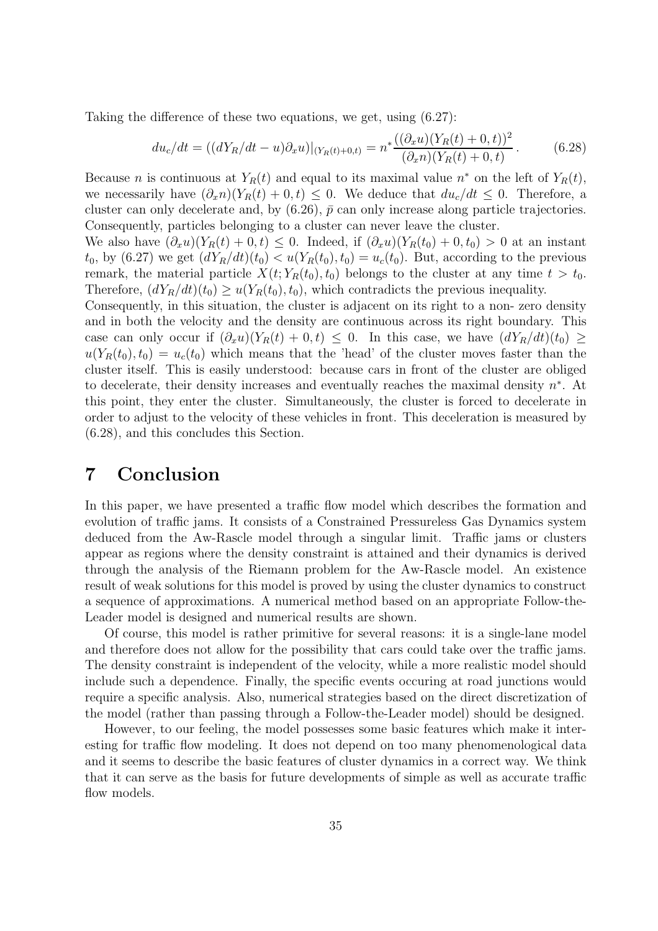Taking the difference of these two equations, we get, using (6.27):

$$
du_c/dt = ((dY_R/dt - u)\partial_x u)|_{(Y_R(t) + 0,t)} = n^* \frac{((\partial_x u)(Y_R(t) + 0, t))^2}{(\partial_x n)(Y_R(t) + 0, t)}.
$$
(6.28)

Because *n* is continuous at  $Y_R(t)$  and equal to its maximal value  $n^*$  on the left of  $Y_R(t)$ , we necessarily have  $(\partial_x n)(Y_R(t) + 0, t) \leq 0$ . We deduce that  $du_c/dt \leq 0$ . Therefore, a cluster can only decelerate and, by  $(6.26)$ ,  $\bar{p}$  can only increase along particle trajectories. Consequently, particles belonging to a cluster can never leave the cluster.

We also have  $(\partial_x u)(Y_R(t) + 0, t) \leq 0$ . Indeed, if  $(\partial_x u)(Y_R(t_0) + 0, t_0) > 0$  at an instant  $t_0$ , by  $(6.27)$  we get  $(dY_R/dt)(t_0) < u(Y_R(t_0), t_0) = u_c(t_0)$ . But, according to the previous remark, the material particle  $X(t; Y_R(t_0), t_0)$  belongs to the cluster at any time  $t > t_0$ . Therefore,  $(dY_R/dt)(t_0) \geq u(Y_R(t_0), t_0)$ , which contradicts the previous inequality.

Consequently, in this situation, the cluster is adjacent on its right to a non- zero density and in both the velocity and the density are continuous across its right boundary. This case can only occur if  $(\partial_x u)(Y_R(t) + 0, t) \leq 0$ . In this case, we have  $(dY_R/dt)(t_0) \geq$  $u(Y_R(t_0), t_0) = u_c(t_0)$  which means that the 'head' of the cluster moves faster than the cluster itself. This is easily understood: because cars in front of the cluster are obliged to decelerate, their density increases and eventually reaches the maximal density  $n^*$ . At this point, they enter the cluster. Simultaneously, the cluster is forced to decelerate in order to adjust to the velocity of these vehicles in front. This deceleration is measured by (6.28), and this concludes this Section.

## 7 Conclusion

In this paper, we have presented a traffic flow model which describes the formation and evolution of traffic jams. It consists of a Constrained Pressureless Gas Dynamics system deduced from the Aw-Rascle model through a singular limit. Traffic jams or clusters appear as regions where the density constraint is attained and their dynamics is derived through the analysis of the Riemann problem for the Aw-Rascle model. An existence result of weak solutions for this model is proved by using the cluster dynamics to construct a sequence of approximations. A numerical method based on an appropriate Follow-the-Leader model is designed and numerical results are shown.

Of course, this model is rather primitive for several reasons: it is a single-lane model and therefore does not allow for the possibility that cars could take over the traffic jams. The density constraint is independent of the velocity, while a more realistic model should include such a dependence. Finally, the specific events occuring at road junctions would require a specific analysis. Also, numerical strategies based on the direct discretization of the model (rather than passing through a Follow-the-Leader model) should be designed.

However, to our feeling, the model possesses some basic features which make it interesting for traffic flow modeling. It does not depend on too many phenomenological data and it seems to describe the basic features of cluster dynamics in a correct way. We think that it can serve as the basis for future developments of simple as well as accurate traffic flow models.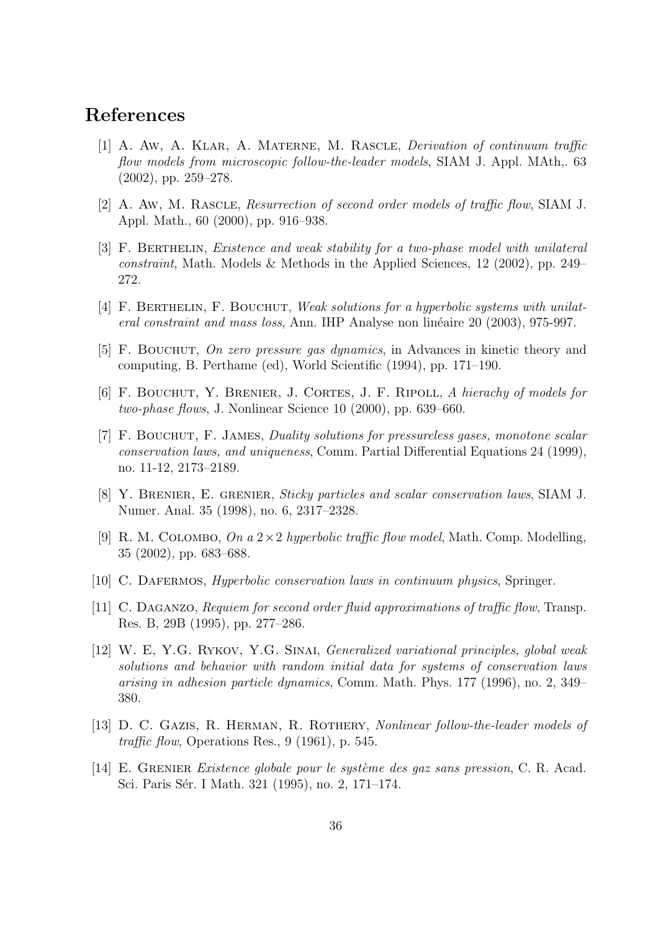## References

- [1] A. Aw, A. Klar, A. Materne, M. Rascle, Derivation of continuum traffic flow models from microscopic follow-the-leader models, SIAM J. Appl. MAth,. 63 (2002), pp. 259–278.
- [2] A. Aw, M. Rascle, Resurrection of second order models of traffic flow, SIAM J. Appl. Math., 60 (2000), pp. 916–938.
- [3] F. Berthelin, Existence and weak stability for a two-phase model with unilateral constraint, Math. Models & Methods in the Applied Sciences, 12 (2002), pp. 249– 272.
- [4] F. Berthelin, F. Bouchut, Weak solutions for a hyperbolic systems with unilateral constraint and mass loss, Ann. IHP Analyse non linéaire 20 (2003), 975-997.
- [5] F. Bouchut, On zero pressure gas dynamics, in Advances in kinetic theory and computing, B. Perthame (ed), World Scientific (1994), pp. 171–190.
- [6] F. Bouchut, Y. Brenier, J. Cortes, J. F. Ripoll, A hierachy of models for two-phase flows, J. Nonlinear Science 10 (2000), pp. 639–660.
- [7] F. Bouchut, F. James, Duality solutions for pressureless gases, monotone scalar conservation laws, and uniqueness, Comm. Partial Differential Equations 24 (1999), no. 11-12, 2173–2189.
- [8] Y. Brenier, E. grenier, Sticky particles and scalar conservation laws, SIAM J. Numer. Anal. 35 (1998), no. 6, 2317–2328.
- [9] R. M. COLOMBO, On a  $2 \times 2$  hyperbolic traffic flow model, Math. Comp. Modelling, 35 (2002), pp. 683–688.
- [10] C. Dafermos, Hyperbolic conservation laws in continuum physics, Springer.
- [11] C. Daganzo, Requiem for second order fluid approximations of traffic flow, Transp. Res. B, 29B (1995), pp. 277–286.
- [12] W. E, Y.G. Rykov, Y.G. Sinai, Generalized variational principles, global weak solutions and behavior with random initial data for systems of conservation laws arising in adhesion particle dynamics, Comm. Math. Phys. 177 (1996), no. 2, 349– 380.
- [13] D. C. GAZIS, R. HERMAN, R. ROTHERY, Nonlinear follow-the-leader models of traffic flow, Operations Res.,  $9(1961)$ , p. 545.
- [14] E. Grenier Existence globale pour le syst`eme des gaz sans pression, C. R. Acad. Sci. Paris Sér. I Math. 321 (1995), no. 2, 171–174.